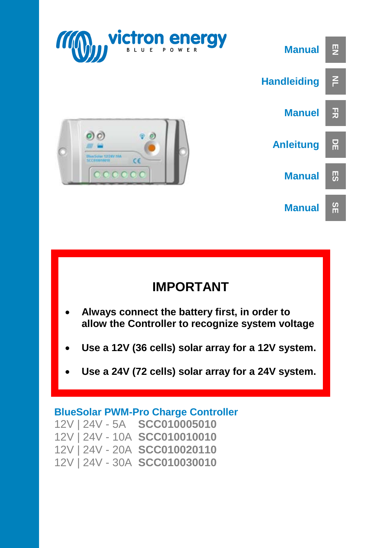

## **IMPORTANT**

- **Always connect the battery first, in order to allow the Controller to recognize system voltage**
- **Use a 12V (36 cells) solar array for a 12V system.**
- **Use a 24V (72 cells) solar array for a 24V system.**

#### **BlueSolar PWM-Pro Charge Controller**

12V | 24V - 5A **SCC010005010** 12V | 24V - 10A **SCC010010010** 12V | 24V - 20A **SCC010020110** 12V | 24V - 30A **SCC010030010**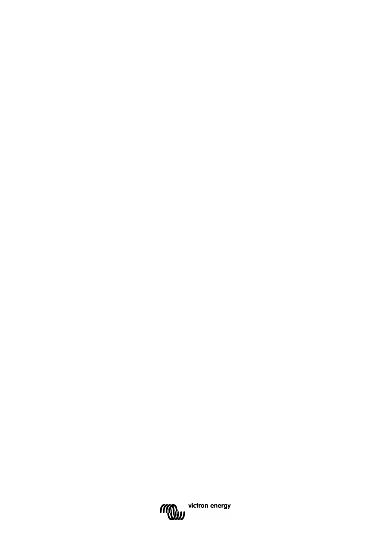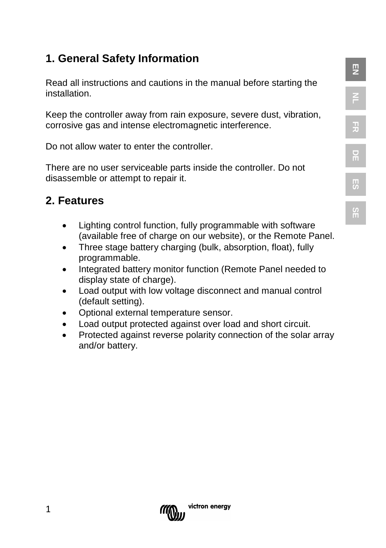## **1. General Safety Information**

Read all instructions and cautions in the manual before starting the installation.

**EN**

**NL**

**FR**

**DE**

**ES**

**SE**

Keep the controller away from rain exposure, severe dust, vibration, corrosive gas and intense electromagnetic interference.

Do not allow water to enter the controller.

There are no user serviceable parts inside the controller. Do not disassemble or attempt to repair it.

## **2. Features**

- Lighting control function, fully programmable with software (available free of charge on our website), or the Remote Panel.
- Three stage battery charging (bulk, absorption, float), fully programmable.
- Integrated battery monitor function (Remote Panel needed to display state of charge).
- Load output with low voltage disconnect and manual control (default setting).
- Optional external temperature sensor.
- Load output protected against over load and short circuit.
- Protected against reverse polarity connection of the solar array and/or battery.

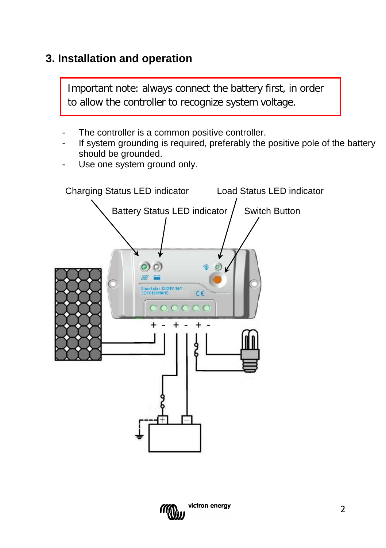## **3. Installation and operation**

Important note: always connect the battery first, in order to allow the controller to recognize system voltage.

- The controller is a common positive controller.
- If system grounding is required, preferably the positive pole of the battery should be arounded.
- Use one system ground only.



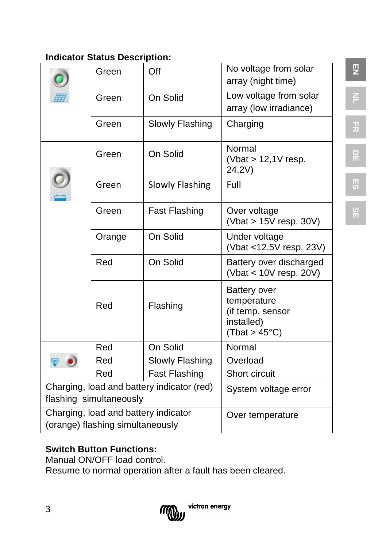#### **Indicator Status Description:**

|                                                                       | Green                            | Off                    | No voltage from solar<br>array (night time)                                    |
|-----------------------------------------------------------------------|----------------------------------|------------------------|--------------------------------------------------------------------------------|
|                                                                       | Green                            | On Solid               | Low voltage from solar<br>array (low irradiance)                               |
|                                                                       | Green                            | Slowly Flashing        | Charging                                                                       |
|                                                                       | Green                            | On Solid               | Normal<br>(Vbat $> 12,1V$ resp.<br>24,2V)                                      |
|                                                                       | Green                            | <b>Slowly Flashing</b> | Full                                                                           |
|                                                                       | Green                            | <b>Fast Flashing</b>   | Over voltage<br>(Vbat $> 15V$ resp. 30V)                                       |
|                                                                       | Orange                           | On Solid               | Under voltage<br>(Vbat <12,5V resp. 23V)                                       |
|                                                                       | Red                              | On Solid               | Battery over discharged<br>(Vbat < 10V resp. 20V)                              |
|                                                                       | Red                              | Flashing               | Battery over<br>temperature<br>(if temp. sensor<br>installed)<br>(That > 45°C) |
|                                                                       | Red                              | On Solid               | Normal                                                                         |
|                                                                       | Red                              | Slowly Flashing        | Overload                                                                       |
|                                                                       | Red                              | <b>Fast Flashing</b>   | Short circuit                                                                  |
| Charging, load and battery indicator (red)<br>flashing simultaneously |                                  |                        | System voltage error                                                           |
| Charging, load and battery indicator                                  |                                  |                        | Over temperature                                                               |
|                                                                       | (orange) flashing simultaneously |                        |                                                                                |

## **Switch Button Functions:**

Manual ON/OFF load control.

Resume to normal operation after a fault has been cleared.



**EN NL**

**FR**

**DE ES**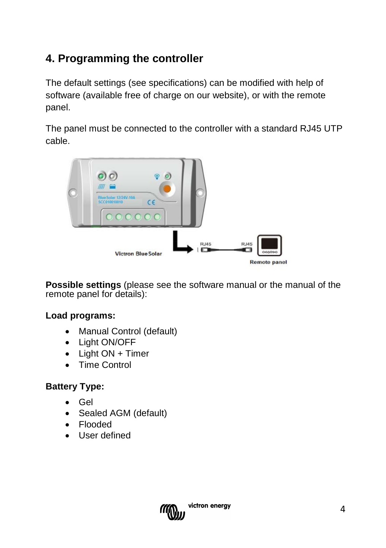## **4. Programming the controller**

The default settings (see specifications) can be modified with help of software (available free of charge on our website), or with the remote panel.

The panel must be connected to the controller with a standard RJ45 UTP cable.



**Possible settings** (please see the software manual or the manual of the remote panel for details):

#### **Load programs:**

- [Manual](app:ds:manual) Control (default)
- Light ON/OFF
- Light ON + Timer
- Time Control

#### **Battery Type:**

- Gel
- Sealed AGM (default)
- Flooded
- User defined

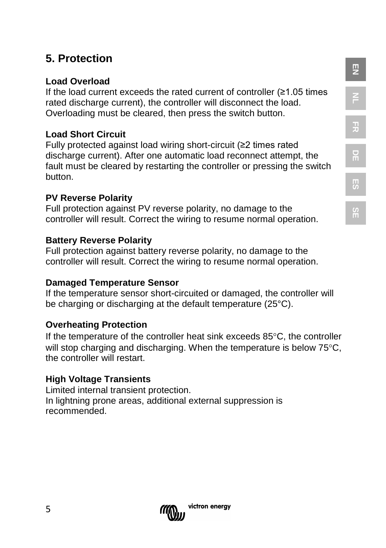## **5. Protection**

#### **Load Overload**

If the load current exceeds the rated current of controller  $(≥1.05$  times rated discharge current), the controller will disconnect the load. Overloading must be cleared, then press the switch button.

#### **Load Short Circuit**

Fully protected against load wiring short-circuit (≥2 times rated discharge current). After one automatic load reconnect attempt, the fault must be cleared by restarting the controller or pressing the switch button.

#### **PV Reverse Polarity**

Full protection against PV reverse polarity, no damage to the controller will result. Correct the wiring to resume normal operation.

#### **Battery Reverse Polarity**

Full protection against battery reverse polarity, no damage to the controller will result. Correct the wiring to resume normal operation.

#### **Damaged Temperature Sensor**

If the temperature sensor short-circuited or damaged, the controller will be charging or discharging at the default temperature (25°C).

#### **Overheating Protection**

If the temperature of the controller heat sink exceeds 85°C, the controller will stop charging and discharging. When the temperature is below 75<sup>o</sup>C. the controller will restart.

#### **High Voltage Transients**

Limited internal transient protection. In lightning prone areas, additional external suppression is recommended.



**EN**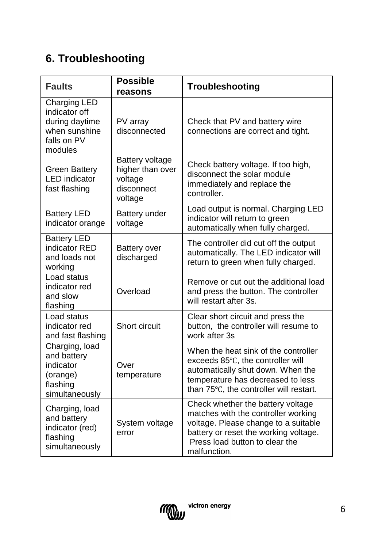## **6. Troubleshooting**

| <b>Faults</b>                                                                              | <b>Possible</b><br>reasons                                              | Troubleshooting                                                                                                                                                                                             |
|--------------------------------------------------------------------------------------------|-------------------------------------------------------------------------|-------------------------------------------------------------------------------------------------------------------------------------------------------------------------------------------------------------|
| Charging LED<br>indicator off<br>during daytime<br>when sunshine<br>falls on PV<br>modules | PV array<br>disconnected                                                | Check that PV and battery wire<br>connections are correct and tight.                                                                                                                                        |
| <b>Green Battery</b><br><b>LED</b> indicator<br>fast flashing                              | Battery voltage<br>higher than over<br>voltage<br>disconnect<br>voltage | Check battery voltage. If too high,<br>disconnect the solar module<br>immediately and replace the<br>controller.                                                                                            |
| <b>Battery LED</b><br>indicator orange                                                     | Battery under<br>voltage                                                | Load output is normal. Charging LED<br>indicator will return to green<br>automatically when fully charged.                                                                                                  |
| <b>Battery LED</b><br>indicator RED<br>and loads not<br>working                            | Battery over<br>discharged                                              | The controller did cut off the output<br>automatically. The LED indicator will<br>return to green when fully charged.                                                                                       |
| Load status<br>indicator red<br>and slow<br>flashing                                       | Overload                                                                | Remove or cut out the additional load<br>and press the button. The controller<br>will restart after 3s.                                                                                                     |
| Load status<br>indicator red<br>and fast flashing                                          | Short circuit                                                           | Clear short circuit and press the<br>button, the controller will resume to<br>work after 3s                                                                                                                 |
| Charging, load<br>and battery<br>indicator<br>(orange)<br>flashing<br>simultaneously       | Over<br>temperature                                                     | When the heat sink of the controller<br>exceeds 85°C, the controller will<br>automatically shut down. When the<br>temperature has decreased to less<br>than 75°C, the controller will restart.              |
| Charging, load<br>and battery<br>indicator (red)<br>flashing<br>simultaneously             | System voltage<br>error                                                 | Check whether the battery voltage<br>matches with the controller working<br>voltage. Please change to a suitable<br>battery or reset the working voltage.<br>Press load button to clear the<br>malfunction. |

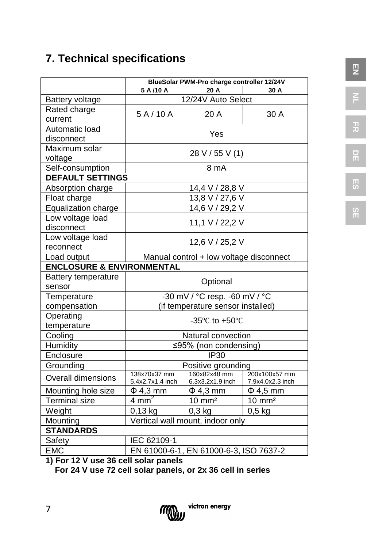## **7. Technical specifications**

|                                                        | BlueSolar PWM-Pro charge controller 12/24V |                                                      |                                   |  |
|--------------------------------------------------------|--------------------------------------------|------------------------------------------------------|-----------------------------------|--|
|                                                        | 5 A /10 A<br>20 A<br>30 A                  |                                                      |                                   |  |
| <b>Battery voltage</b>                                 |                                            | 12/24V Auto Select                                   |                                   |  |
| Rated charge<br>current                                | 5A/10A                                     | 20 A                                                 | 30 A                              |  |
| Automatic load<br>disconnect                           |                                            | Yes                                                  |                                   |  |
| Maximum solar<br>voltage                               |                                            | 28 V / 55 V (1)                                      |                                   |  |
| Self-consumption                                       |                                            | 8 mA                                                 |                                   |  |
| <b>DEFAULT SETTINGS</b>                                |                                            |                                                      |                                   |  |
| Absorption charge                                      |                                            | 14,4 V / 28,8 V                                      |                                   |  |
| Float charge                                           |                                            | 13,8 V / 27,6 V                                      |                                   |  |
| Equalization charge                                    |                                            | 14,6 V / 29,2 V                                      |                                   |  |
| Low voltage load<br>disconnect                         | 11,1 V / 22,2 V                            |                                                      |                                   |  |
| Low voltage load<br>reconnect                          | 12,6 V / 25,2 V                            |                                                      |                                   |  |
| Manual control + low voltage disconnect<br>Load output |                                            |                                                      |                                   |  |
| <b>ENCLOSURE &amp; ENVIRONMENTAL</b>                   |                                            |                                                      |                                   |  |
| Battery temperature<br>sensor                          |                                            | Optional                                             |                                   |  |
| Temperature                                            |                                            | -30 mV / °C resp. -60 mV / °C                        |                                   |  |
| compensation                                           |                                            | (if temperature sensor installed)                    |                                   |  |
| Operating<br>temperature                               |                                            | -35 $\mathrm{^{\circ}C}$ to +50 $\mathrm{^{\circ}C}$ |                                   |  |
| Cooling                                                |                                            | Natural convection                                   |                                   |  |
| Humidity                                               |                                            | ≤95% (non condensing)                                |                                   |  |
| Enclosure                                              |                                            | <b>IP30</b>                                          |                                   |  |
| Grounding                                              |                                            | Positive grounding                                   |                                   |  |
| Overall dimensions                                     | 138x70x37 mm<br>5.4x2.7x1.4 inch           | 160x82x48 mm<br>6.3x3.2x1.9 inch                     | 200x100x57 mm<br>7.9x4.0x2.3 inch |  |
| Mounting hole size                                     | $\Phi$ 4,3 mm                              | $\Phi$ 4,3 mm                                        | $\Phi$ 4,5 mm                     |  |
| <b>Terminal size</b>                                   | $4 \text{ mm}^2$                           | $10 \text{ mm}^2$                                    | $10 \text{ mm}^2$                 |  |
| Weight                                                 | 0,13 kg                                    | $0,3$ kg                                             | $0,5$ kg                          |  |
| Mounting                                               | Vertical wall mount, indoor only           |                                                      |                                   |  |
| <b>STANDARDS</b>                                       |                                            |                                                      |                                   |  |
| Safety<br>IEC 62109-1                                  |                                            |                                                      |                                   |  |
| <b>EMC</b>                                             | EN 61000-6-1, EN 61000-6-3, ISO 7637-2     |                                                      |                                   |  |
| $\cdots$<br>40 M                                       |                                            |                                                      |                                   |  |

**1) For 12 V use 36 cell solar panels**

 **For 24 V use 72 cell solar panels, or 2x 36 cell in series**

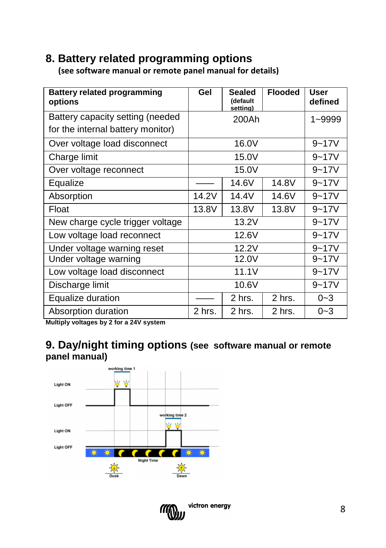## **8. Battery related programming options**

 **(see software manual or remote panel manual for details)**

| <b>Battery related programming</b><br>options                         | Gel    | Sealed<br>(default<br>setting) | <b>Flooded</b> | <b>User</b><br>defined |
|-----------------------------------------------------------------------|--------|--------------------------------|----------------|------------------------|
| Battery capacity setting (needed<br>for the internal battery monitor) |        | 200Ah                          |                | 1~9999                 |
| Over voltage load disconnect                                          |        | 16.0V                          |                | $9 - 17V$              |
| Charge limit                                                          |        | 15.0V                          |                | $9 - 17V$              |
| Over voltage reconnect                                                |        | 15.0V                          |                | $9 - 17V$              |
| Equalize                                                              |        | 14.6V                          | 14.8V          | $9 - 17V$              |
| Absorption                                                            | 14.2V  | 14.4V                          | 14.6V          | $9 - 17V$              |
| Float                                                                 | 13.8V  | 13.8V                          | 13.8V          | $9 - 17V$              |
| New charge cycle trigger voltage                                      |        | 13.2V                          |                | $9 - 17V$              |
| Low voltage load reconnect                                            |        | 12.6V                          |                | $9 - 17V$              |
| Under voltage warning reset                                           |        | 12.2V                          |                | $9 - 17V$              |
| Under voltage warning                                                 |        | 12.0V                          |                | $9 - 17V$              |
| Low voltage load disconnect                                           |        | 11.1V                          |                | $9 - 17V$              |
| Discharge limit                                                       |        | 10.6V                          |                | $9 - 17V$              |
| Equalize duration                                                     |        | 2 hrs.                         | 2 hrs.         | $0 - 3$                |
| Absorption duration                                                   | 2 hrs. | $2$ hrs.                       | 2 hrs.         | $0 - 3$                |

**Multiply voltages by 2 for a 24V system**

## **9. Day/night timing options (see software manual or remote panel manual)**



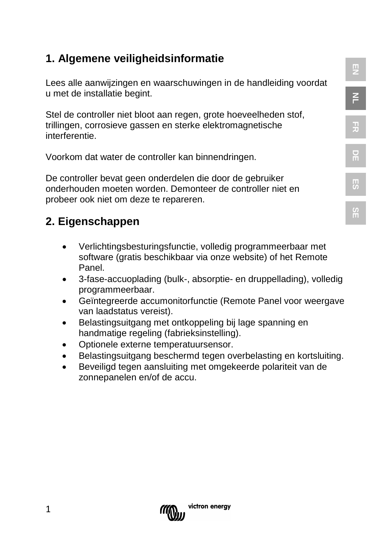## **1. Algemene veiligheidsinformatie**

Lees alle aanwijzingen en waarschuwingen in de handleiding voordat u met de installatie begint.

Stel de controller niet bloot aan regen, grote hoeveelheden stof, trillingen, corrosieve gassen en sterke elektromagnetische interferentie.

Voorkom dat water de controller kan binnendringen.

De controller bevat geen onderdelen die door de gebruiker onderhouden moeten worden. Demonteer de controller niet en probeer ook niet om deze te repareren.

## **2. Eigenschappen**

- Verlichtingsbesturingsfunctie, volledig programmeerbaar met software (gratis beschikbaar via onze website) of het Remote Panel.
- 3-fase-accuoplading (bulk-, absorptie- en druppellading), volledig programmeerbaar.
- Geïntegreerde accumonitorfunctie (Remote Panel voor weergave van laadstatus vereist).
- Belastingsuitgang met ontkoppeling bij lage spanning en handmatige regeling (fabrieksinstelling).
- Optionele externe temperatuursensor.
- Belastingsuitgang beschermd tegen overbelasting en kortsluiting.
- Beveiligd tegen aansluiting met omgekeerde polariteit van de zonnepanelen en/of de accu.



**EN**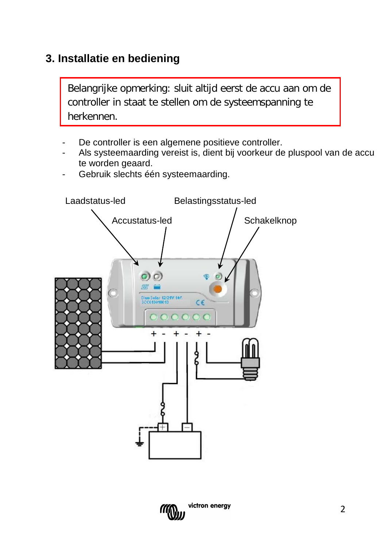## **3. Installatie en bediening**

Belangrijke opmerking: sluit altijd eerst de accu aan om de controller in staat te stellen om de systeemspanning te herkennen.

- De controller is een algemene positieve controller.
- Als systeemaarding vereist is, dient bij voorkeur de pluspool van de accu te worden geaard.
- Gebruik slechts één systeemaarding.



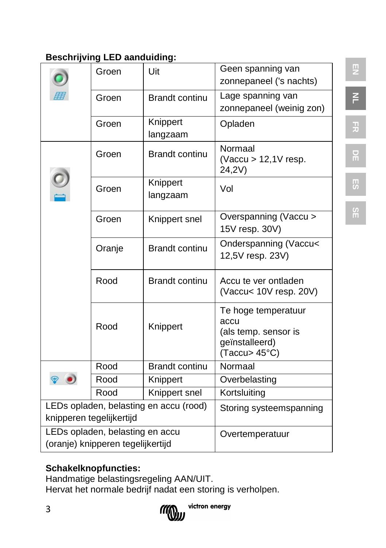## **Beschrijving LED aanduiding:**

|                                   | Groen  | Uit                                    | Geen spanning van                      |
|-----------------------------------|--------|----------------------------------------|----------------------------------------|
|                                   |        |                                        | zonnepaneel ('s nachts)                |
|                                   | Groen  | <b>Brandt continu</b>                  | Lage spanning van                      |
|                                   |        |                                        | zonnepaneel (weinig zon)               |
|                                   | Groen  | Knippert                               | Opladen                                |
|                                   |        | langzaam                               |                                        |
|                                   | Groen  | <b>Brandt continu</b>                  | Normaal<br>(Vaccu $> 12,1V$ resp.      |
|                                   |        |                                        | 24,2V)                                 |
|                                   | Groen  | Knippert                               | Vol                                    |
|                                   |        | langzaam                               |                                        |
|                                   | Groen  | Knippert snel                          | Overspanning (Vaccu >                  |
|                                   |        |                                        | 15V resp. 30V)                         |
|                                   | Oranje | <b>Brandt continu</b>                  | Onderspanning (Vaccu<                  |
|                                   |        |                                        | 12,5V resp. 23V)                       |
|                                   | Rood   | <b>Brandt continu</b>                  | Accu te ver ontladen                   |
|                                   |        |                                        | (Vaccu< 10V resp. 20V)                 |
|                                   |        |                                        | Te hoge temperatuur                    |
|                                   | Rood   | Knippert                               | accu                                   |
|                                   |        |                                        | (als temp. sensor is<br>geïnstalleerd) |
|                                   |        |                                        | (Taccu> 45°C)                          |
|                                   | Rood   | <b>Brandt continu</b>                  | Normaal                                |
|                                   | Rood   | Knippert                               | Overbelasting                          |
|                                   | Rood   | Knippert snel                          | Kortsluiting                           |
|                                   |        | LEDs opladen, belasting en accu (rood) | Storing systeemspanning                |
| knipperen tegelijkertijd          |        |                                        |                                        |
| LEDs opladen, belasting en accu   |        |                                        | Overtemperatuur                        |
| (oranje) knipperen tegelijkertijd |        |                                        |                                        |

## **Schakelknopfuncties:**

Handmatige belastingsregeling AAN/UIT.

Hervat het normale bedrijf nadat een storing is verholpen.



**NL FR**

# **DE ES**

**SE**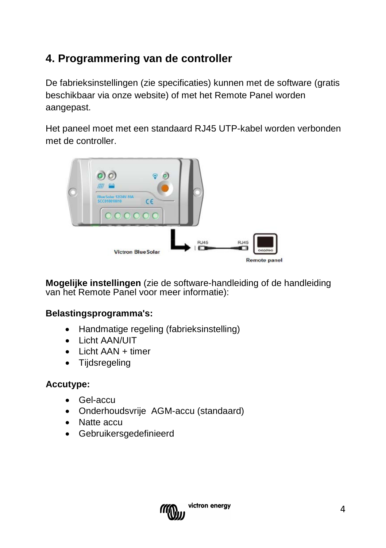## **4. Programmering van de controller**

De fabrieksinstellingen (zie specificaties) kunnen met de software (gratis beschikbaar via onze website) of met het Remote Panel worden aangepast.

Het paneel moet met een standaard RJ45 UTP-kabel worden verbonden met de controller.



**Mogelijke instellingen** (zie de software-handleiding of de handleiding van het Remote Panel voor meer informatie):

#### **Belastingsprogramma's:**

- [Handmatige](app:ds:manual) regeling (fabrieksinstelling)
- Licht AAN/UIT
- Licht AAN + timer
- Tijdsregeling

#### **Accutype:**

- Gel-accu
- Onderhoudsvrije AGM-accu (standaard)
- Natte accu
- Gebruikersgedefinieerd

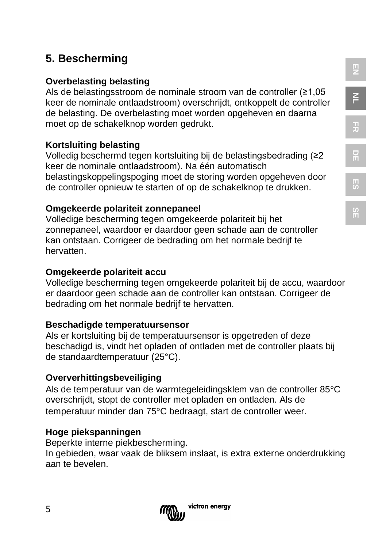## **5. Bescherming**

#### **Overbelasting belasting**

Als de belastingsstroom de nominale stroom van de controller (≥1,05 keer de nominale ontlaadstroom) overschrijdt, ontkoppelt de controller de belasting. De overbelasting moet worden opgeheven en daarna moet op de schakelknop worden gedrukt.

#### **Kortsluiting belasting**

Volledig beschermd tegen kortsluiting bij de belastingsbedrading (≥2 keer de nominale ontlaadstroom). Na één automatisch belastingskoppelingspoging moet de storing worden opgeheven door de controller opnieuw te starten of op de schakelknop te drukken.

#### **Omgekeerde polariteit zonnepaneel**

Volledige bescherming tegen omgekeerde polariteit bij het zonnepaneel, waardoor er daardoor geen schade aan de controller kan ontstaan. Corrigeer de bedrading om het normale bedrijf te hervatten.

#### **Omgekeerde polariteit accu**

Volledige bescherming tegen omgekeerde polariteit bij de accu, waardoor er daardoor geen schade aan de controller kan ontstaan. Corrigeer de bedrading om het normale bedrijf te hervatten.

#### **Beschadigde temperatuursensor**

Als er kortsluiting bij de temperatuursensor is opgetreden of deze beschadigd is, vindt het opladen of ontladen met de controller plaats bij de standaardtemperatuur (25°C).

#### **Oververhittingsbeveiliging**

Als de temperatuur van de warmtegeleidingsklem van de controller 85°C overschrijdt, stopt de controller met opladen en ontladen. Als de temperatuur minder dan 75°C bedraagt, start de controller weer.

#### **Hoge piekspanningen**

Beperkte interne piekbescherming.

In gebieden, waar vaak de bliksem inslaat, is extra externe onderdrukking aan te bevelen.

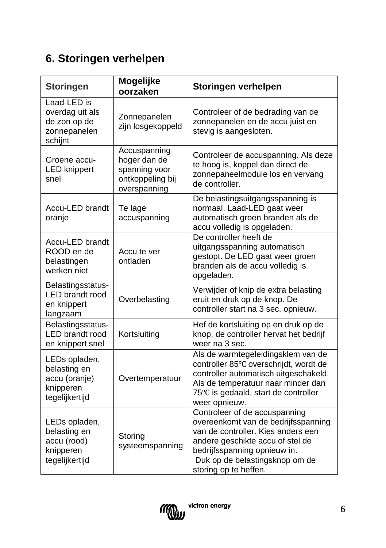## **6. Storingen verhelpen**

| <b>Storingen</b>                                                              | Mogelijke<br>oorzaken                                                             | Storingen verhelpen                                                                                                                                                                                                                       |
|-------------------------------------------------------------------------------|-----------------------------------------------------------------------------------|-------------------------------------------------------------------------------------------------------------------------------------------------------------------------------------------------------------------------------------------|
| Laad-LED is<br>overdag uit als<br>de zon op de<br>zonnepanelen<br>schijnt     | Zonnepanelen<br>zijn losgekoppeld                                                 | Controleer of de bedrading van de<br>zonnepanelen en de accu juist en<br>stevig is aangesloten.                                                                                                                                           |
| Groene accu-<br><b>LED</b> knippert<br>snel                                   | Accuspanning<br>hoger dan de<br>spanning voor<br>ontkoppeling bij<br>overspanning | Controleer de accuspanning. Als deze<br>te hoog is, koppel dan direct de<br>zonnepaneelmodule los en vervang<br>de controller.                                                                                                            |
| Accu-LED brandt<br>oranje                                                     | Te lage<br>accuspanning                                                           | De belastingsuitgangsspanning is<br>normaal. Laad-LED gaat weer<br>automatisch groen branden als de<br>accu volledig is opgeladen.                                                                                                        |
| Accu-LED brandt<br>ROOD en de<br>belastingen<br>werken niet                   | Accu te ver<br>ontladen                                                           | De controller heeft de<br>uitgangsspanning automatisch<br>gestopt. De LED gaat weer groen<br>branden als de accu volledig is<br>opgeladen.                                                                                                |
| Belastingsstatus-<br><b>LED</b> brandt rood<br>en knippert<br>langzaam        | Overbelasting                                                                     | Verwijder of knip de extra belasting<br>eruit en druk op de knop. De<br>controller start na 3 sec. opnieuw.                                                                                                                               |
| Belastingsstatus-<br>LED brandt rood<br>en knippert snel                      | Kortsluiting                                                                      | Hef de kortsluiting op en druk op de<br>knop, de controller hervat het bedrijf<br>weer na 3 sec.                                                                                                                                          |
| LEDs opladen,<br>belasting en<br>accu (oranje)<br>knipperen<br>tegelijkertijd | Overtemperatuur                                                                   | Als de warmtegeleidingsklem van de<br>controller 85°C overschrijdt, wordt de<br>controller automatisch uitgeschakeld.<br>Als de temperatuur naar minder dan<br>75°C is gedaald, start de controller<br>weer opnieuw.                      |
| LEDs opladen,<br>belasting en<br>accu (rood)<br>knipperen<br>tegelijkertijd   | Storing<br>systeemspanning                                                        | Controleer of de accuspanning<br>overeenkomt van de bedrijfsspanning<br>van de controller. Kies anders een<br>andere geschikte accu of stel de<br>bedrijfsspanning opnieuw in.<br>Duk op de belastingsknop om de<br>storing op te heffen. |

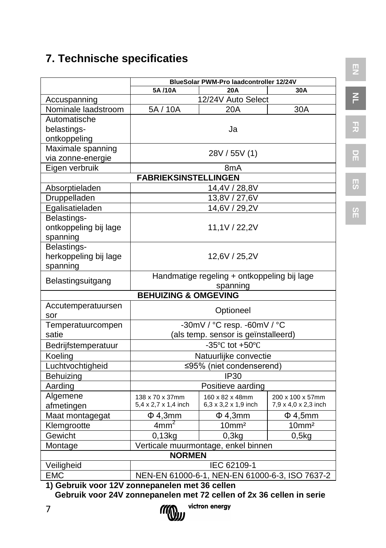## **7. Technische specificaties**

| BlueSolar PWM-Pro laadcontroller 12/24V          |                                                |                                                       |                      |  |  |
|--------------------------------------------------|------------------------------------------------|-------------------------------------------------------|----------------------|--|--|
|                                                  | 5A/10A<br>20A<br>30A                           |                                                       |                      |  |  |
| Accuspanning                                     |                                                | 12/24V Auto Select                                    |                      |  |  |
| Nominale laadstroom                              | 5A / 10A                                       | 20A                                                   | 30A                  |  |  |
| Automatische                                     |                                                |                                                       |                      |  |  |
| belastings-                                      | Ja                                             |                                                       |                      |  |  |
| ontkoppeling                                     |                                                |                                                       |                      |  |  |
| Maximale spanning                                |                                                | 28V / 55V (1)                                         |                      |  |  |
| via zonne-energie                                |                                                |                                                       |                      |  |  |
| Eigen verbruik                                   |                                                | 8 <sub>m</sub> A                                      |                      |  |  |
|                                                  | <b>FABRIEKSINSTELLINGEN</b>                    |                                                       |                      |  |  |
| Absorptieladen                                   |                                                | 14,4V / 28,8V                                         |                      |  |  |
| Druppelladen                                     |                                                | 13,8V / 27,6V                                         |                      |  |  |
| Egalisatieladen                                  |                                                | 14,6V / 29,2V                                         |                      |  |  |
| Belastings-<br>ontkoppeling bij lage<br>spanning |                                                | 11,1V / 22,2V                                         |                      |  |  |
| Belastings-<br>herkoppeling bij lage<br>spanning | 12,6V / 25,2V                                  |                                                       |                      |  |  |
| Belastingsuitgang                                | Handmatige regeling + ontkoppeling bij lage    |                                                       |                      |  |  |
|                                                  | spanning                                       |                                                       |                      |  |  |
|                                                  | <b>BEHUIZING &amp; OMGEVING</b>                |                                                       |                      |  |  |
| Accutemperatuursen<br>sor                        |                                                | Optioneel                                             |                      |  |  |
| Temperatuurcompen                                |                                                | -30mV / °C resp. -60mV / °C                           |                      |  |  |
| satie                                            |                                                | (als temp. sensor is geïnstalleerd)                   |                      |  |  |
| Bedrijfstemperatuur                              |                                                | -35 $\mathrm{^{\circ}C}$ tot +50 $\mathrm{^{\circ}C}$ |                      |  |  |
| Koeling                                          |                                                | Natuurlijke convectie                                 |                      |  |  |
| Luchtvochtigheid                                 |                                                | ≤95% (niet condenserend)                              |                      |  |  |
| Behuizing                                        |                                                | <b>IP30</b>                                           |                      |  |  |
| Aarding                                          |                                                | Positieve aarding                                     |                      |  |  |
| Algemene                                         | 138 x 70 x 37mm                                | 160 x 82 x 48mm                                       | 200 x 100 x 57mm     |  |  |
| afmetingen                                       | 5,4 x 2,7 x 1,4 inch                           | 6,3 x 3,2 x 1,9 inch                                  | 7,9 x 4,0 x 2,3 inch |  |  |
| Maat montagegat                                  | $\Phi$ 4,3mm                                   | $\Phi$ 4,3mm                                          | $\Phi$ 4,5mm         |  |  |
| Klemgrootte                                      | 4mm <sup>2</sup>                               | 10mm <sup>2</sup>                                     | 10mm <sup>2</sup>    |  |  |
| Gewicht                                          | 0,13kg                                         | 0,3kg                                                 | 0,5kg                |  |  |
| Montage                                          |                                                | Verticale muurmontage, enkel binnen                   |                      |  |  |
|                                                  | <b>NORMEN</b>                                  |                                                       |                      |  |  |
| Veiligheid<br>IEC 62109-1                        |                                                |                                                       |                      |  |  |
| <b>EMC</b>                                       | NEN-EN 61000-6-1, NEN-EN 61000-6-3, ISO 7637-2 |                                                       |                      |  |  |

**NL**

**FR**

**DE**

**ES**

**SE**

**1) Gebruik voor 12V zonnepanelen met 36 cellen Gebruik voor 24V zonnepanelen met 72 cellen of 2x 36 cellen in serie**

victron energy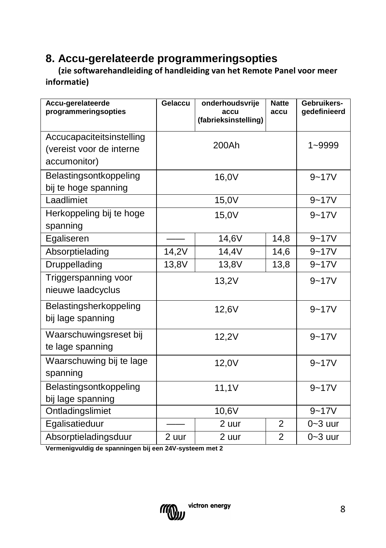## **8. Accu-gerelateerde programmeringsopties**

 **(zie softwarehandleiding of handleiding van het Remote Panel voor meer informatie)**

| Accu-gerelateerde<br>programmeringsopties                             | Gelaccu | onderhoudsvrije<br>accu<br>(fabrieksinstelling) | <b>Natte</b><br>accu | Gebruikers-<br>gedefinieerd |
|-----------------------------------------------------------------------|---------|-------------------------------------------------|----------------------|-----------------------------|
| Accucapaciteitsinstelling<br>(vereist voor de interne<br>accumonitor) |         | 200Ah                                           |                      | 1~9999                      |
| Belastingsontkoppeling<br>bij te hoge spanning                        | 16,0V   |                                                 | $9 - 17V$            |                             |
| Laadlimiet                                                            |         | 15,0V                                           |                      | $9 - 17V$                   |
| Herkoppeling bij te hoge<br>spanning                                  | 15,0V   |                                                 |                      | $9 - 17V$                   |
| Egaliseren                                                            |         | 14,6V                                           | 14,8                 | $9 - 17V$                   |
| Absorptielading                                                       | 14,2V   | 14,4V                                           | 14,6                 | $9 - 17V$                   |
| Druppellading                                                         | 13,8V   | 13,8V                                           | 13,8                 | $9 - 17V$                   |
| Triggerspanning voor<br>nieuwe laadcyclus                             | 13,2V   |                                                 | $9 - 17V$            |                             |
| Belastingsherkoppeling<br>bij lage spanning                           | 12,6V   |                                                 | $9 - 17V$            |                             |
| Waarschuwingsreset bij<br>te lage spanning                            | 12,2V   |                                                 | $9 - 17V$            |                             |
| Waarschuwing bij te lage<br>spanning                                  | 12,0V   |                                                 | $9 - 17V$            |                             |
| Belastingsontkoppeling<br>bij lage spanning                           | 11,1V   |                                                 | $9 - 17V$            |                             |
| Ontladingslimiet                                                      | 10,6V   |                                                 | $9 - 17V$            |                             |
| Egalisatieduur                                                        |         | 2 uur                                           | 2                    | $0 - 3$ uur                 |
| Absorptieladingsduur                                                  | 2 uur   | 2 uur                                           | $\overline{2}$       | $0 - 3$ uur                 |

**Vermenigvuldig de spanningen bij een 24V-systeem met 2**

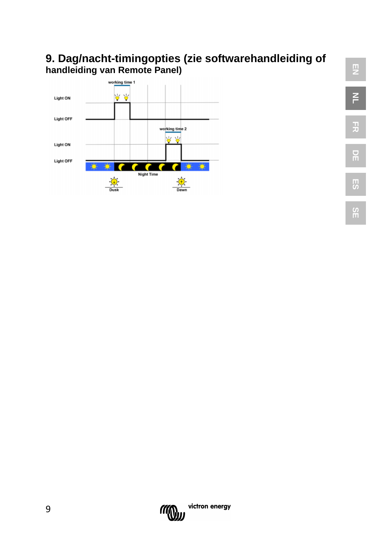## **9. Dag/nacht-timingopties (zie softwarehandleiding of handleiding van Remote Panel)**





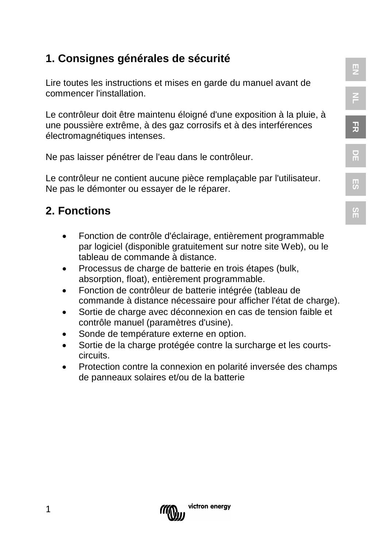## **1. Consignes générales de sécurité**

Lire toutes les instructions et mises en garde du manuel avant de commencer l'installation.

Le contrôleur doit être maintenu éloigné d'une exposition à la pluie, à une poussière extrême, à des gaz corrosifs et à des interférences électromagnétiques intenses.

Ne pas laisser pénétrer de l'eau dans le contrôleur.

Le contrôleur ne contient aucune pièce remplaçable par l'utilisateur. Ne pas le démonter ou essayer de le réparer.

## **2. Fonctions**

- Fonction de contrôle d'éclairage, entièrement programmable par logiciel (disponible gratuitement sur notre site Web), ou le tableau de commande à distance.
- Processus de charge de batterie en trois étapes (bulk, absorption, float), entièrement programmable.
- Fonction de contrôleur de batterie intégrée (tableau de commande à distance nécessaire pour afficher l'état de charge).
- Sortie de charge avec déconnexion en cas de tension faible et contrôle manuel (paramètres d'usine).
- Sonde de température externe en option.
- Sortie de la charge protégée contre la surcharge et les courtscircuits.
- Protection contre la connexion en polarité inversée des champs de panneaux solaires et/ou de la batterie



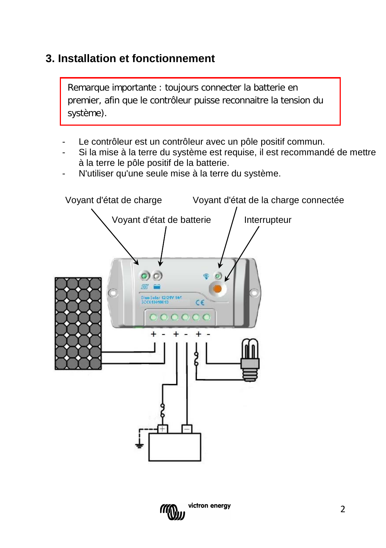## **3. Installation et fonctionnement**

Remarque importante : toujours connecter la batterie en premier, afin que le contrôleur puisse reconnaitre la tension du système).

- Le contrôleur est un contrôleur avec un pôle positif commun.
- Si la mise à la terre du système est requise, il est recommandé de mettre à la terre le pôle positif de la batterie.
- N'utiliser qu'une seule mise à la terre du système.



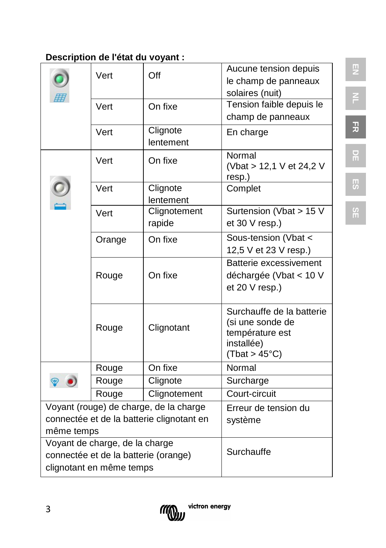## **Description de l'état du voyant :**

|                                           |        |                                        | Aucune tension depuis                         |
|-------------------------------------------|--------|----------------------------------------|-----------------------------------------------|
|                                           | Vert   | Off                                    | le champ de panneaux                          |
|                                           |        |                                        | solaires (nuit)                               |
|                                           | Vert   | On fixe                                | Tension faible depuis le                      |
|                                           |        |                                        | champ de panneaux                             |
|                                           | Vert   | Clignote                               | En charge                                     |
|                                           |        | lentement                              |                                               |
|                                           | Vert   | On fixe                                | Normal<br>(Vbat > 12,1 V et 24,2 V            |
|                                           |        |                                        | resp.)                                        |
|                                           | Vert   | Clignote                               | Complet                                       |
|                                           |        | lentement                              |                                               |
|                                           | Vert   | Clignotement                           | Surtension (Vbat > 15 V                       |
|                                           |        | rapide                                 | et 30 V resp.)                                |
|                                           | Orange | On fixe                                | Sous-tension (Vbat <                          |
|                                           |        |                                        | 12,5 V et 23 V resp.)                         |
|                                           |        |                                        | Batterie excessivement                        |
|                                           | Rouge  | On fixe                                | déchargée (Vbat < 10 V                        |
|                                           |        |                                        | et 20 V resp.)                                |
|                                           |        |                                        |                                               |
|                                           |        |                                        | Surchauffe de la batterie<br>(si une sonde de |
|                                           | Rouge  | Clignotant                             | température est                               |
|                                           |        |                                        | installée)                                    |
|                                           |        |                                        | (That > 45°C)                                 |
|                                           | Rouge  | On fixe                                | Normal                                        |
|                                           | Rouge  | Clignote                               | Surcharge                                     |
|                                           | Rouge  | Clignotement                           | Court-circuit                                 |
|                                           |        | Voyant (rouge) de charge, de la charge | Erreur de tension du                          |
| connectée et de la batterie clignotant en |        |                                        | système                                       |
| même temps                                |        |                                        |                                               |
| Voyant de charge, de la charge            |        |                                        |                                               |
| connectée et de la batterie (orange)      |        |                                        | Surchauffe                                    |
| clignotant en même temps                  |        |                                        |                                               |



**EN**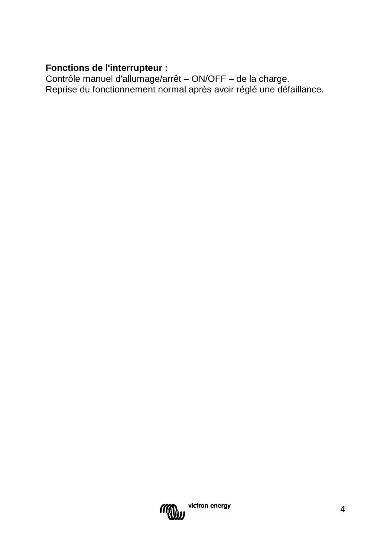## **Fonctions de l'interrupteur :**

Contrôle manuel d'allumage/arrêt – ON/OFF – de la charge. Reprise du fonctionnement normal après avoir réglé une défaillance.

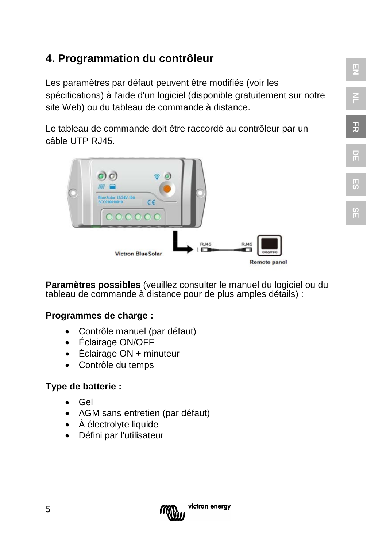## **4. Programmation du contrôleur**

Les paramètres par défaut peuvent être modifiés (voir les spécifications) à l'aide d'un logiciel (disponible gratuitement sur notre site Web) ou du tableau de commande à distance.

Le tableau de commande doit être raccordé au contrôleur par un câble UTP RJ45.



**Paramètres possibles** (veuillez consulter le manuel du logiciel ou du tableau de commande à distance pour de plus amples détails) :

#### **Programmes de charge :**

- [Contrôle manuel](app:ds:manual) (par défaut)
- Éclairage ON/OFF
- Éclairage ON + minuteur
- Contrôle du temps

#### **Type de batterie :**

- Gel
- AGM sans entretien (par défaut)
- À électrolyte liquide
- Défini par l'utilisateur



**EN**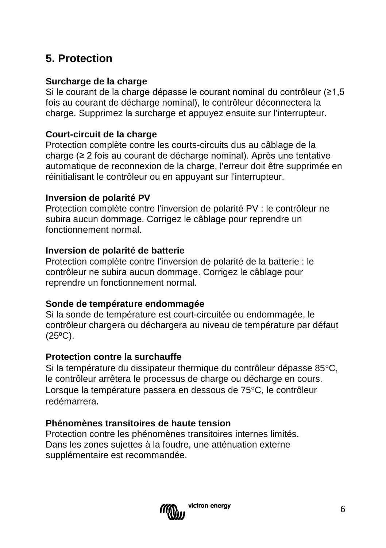## **5. Protection**

#### **Surcharge de la charge**

Si le courant de la charge dépasse le courant nominal du contrôleur (≥1,5 fois au courant de décharge nominal), le contrôleur déconnectera la charge. Supprimez la surcharge et appuyez ensuite sur l'interrupteur.

#### **Court-circuit de la charge**

Protection complète contre les courts-circuits dus au câblage de la charge (≥ 2 fois au courant de décharge nominal). Après une tentative automatique de reconnexion de la charge, l'erreur doit être supprimée en réinitialisant le contrôleur ou en appuyant sur l'interrupteur.

#### **Inversion de polarité PV**

Protection complète contre l'inversion de polarité PV : le contrôleur ne subira aucun dommage. Corrigez le câblage pour reprendre un fonctionnement normal.

#### **Inversion de polarité de batterie**

Protection complète contre l'inversion de polarité de la batterie : le contrôleur ne subira aucun dommage. Corrigez le câblage pour reprendre un fonctionnement normal.

#### **Sonde de température endommagée**

Si la sonde de température est court-circuitée ou endommagée, le contrôleur chargera ou déchargera au niveau de température par défaut  $(25^{\circ}C)$ .

#### **Protection contre la surchauffe**

Si la température du dissipateur thermique du contrôleur dépasse 85°C, le contrôleur arrêtera le processus de charge ou décharge en cours. Lorsque la température passera en dessous de 75°C, le contrôleur redémarrera.

#### **Phénomènes transitoires de haute tension**

Protection contre les phénomènes transitoires internes limités. Dans les zones sujettes à la foudre, une atténuation externe supplémentaire est recommandée.

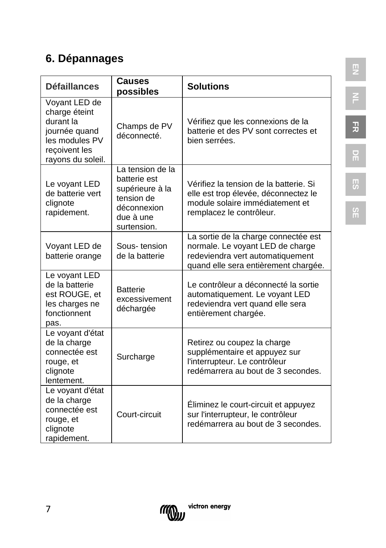## **6. Dépannages**

| <b>Défaillances</b>                                                                                                  | <b>Causes</b><br>possibles                                                                                   | <b>Solutions</b>                                                                                                                                     |
|----------------------------------------------------------------------------------------------------------------------|--------------------------------------------------------------------------------------------------------------|------------------------------------------------------------------------------------------------------------------------------------------------------|
| Voyant LED de<br>charge éteint<br>durant la<br>journée quand<br>les modules PV<br>reçoivent les<br>rayons du soleil. | Champs de PV<br>déconnecté.                                                                                  | Vérifiez que les connexions de la<br>batterie et des PV sont correctes et<br>bien serrées.                                                           |
| Le voyant LED<br>de batterie vert<br>clignote<br>rapidement.                                                         | La tension de la<br>batterie est<br>supérieure à la<br>tension de<br>déconnexion<br>due à une<br>surtension. | Vérifiez la tension de la batterie. Si<br>elle est trop élevée, déconnectez le<br>module solaire immédiatement et<br>remplacez le contrôleur.        |
| Voyant LED de<br>batterie orange                                                                                     | Sous-tension<br>de la batterie                                                                               | La sortie de la charge connectée est<br>normale. Le voyant LED de charge<br>redeviendra vert automatiquement<br>quand elle sera entièrement chargée. |
| Le voyant LED<br>de la batterie<br>est ROUGE, et<br>les charges ne<br>fonctionnent<br>pas.                           | <b>Batterie</b><br>excessivement<br>déchargée                                                                | Le contrôleur a déconnecté la sortie<br>automatiquement. Le voyant LED<br>redeviendra vert quand elle sera<br>entièrement chargée.                   |
| Le voyant d'état<br>de la charge<br>connectée est<br>rouge, et<br>clignote<br>lentement.                             | Surcharge                                                                                                    | Retirez ou coupez la charge<br>supplémentaire et appuyez sur<br>l'interrupteur. Le contrôleur<br>redémarrera au bout de 3 secondes.                  |
| Le voyant d'état<br>de la charge<br>connectée est<br>rouge, et<br>clignote<br>rapidement.                            | Court-circuit                                                                                                | Éliminez le court-circuit et appuyez<br>sur l'interrupteur, le contrôleur<br>redémarrera au bout de 3 secondes.                                      |



**EN**

**SE**

**ES**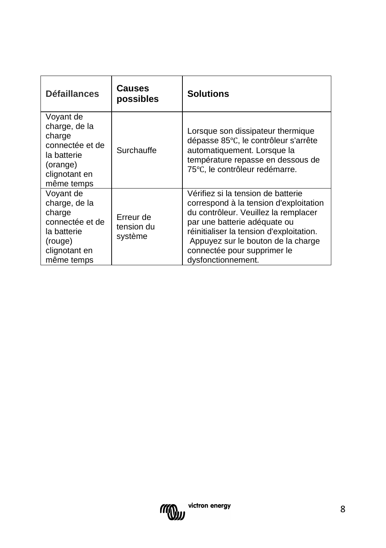| <b>Défaillances</b>                                                                                               | Causes<br>possibles                | <b>Solutions</b>                                                                                                                                                                                                                                                                            |
|-------------------------------------------------------------------------------------------------------------------|------------------------------------|---------------------------------------------------------------------------------------------------------------------------------------------------------------------------------------------------------------------------------------------------------------------------------------------|
| Voyant de<br>charge, de la<br>charge<br>connectée et de<br>la batterie<br>(orange)<br>clignotant en<br>même temps | Surchauffe                         | Lorsque son dissipateur thermique<br>dépasse 85°C, le contrôleur s'arrête<br>automatiquement. Lorsque la<br>température repasse en dessous de<br>75°C, le contrôleur redémarre.                                                                                                             |
| Voyant de<br>charge, de la<br>charge<br>connectée et de<br>la batterie<br>(rouge)<br>clignotant en<br>même temps  | Erreur de<br>tension du<br>système | Vérifiez si la tension de batterie<br>correspond à la tension d'exploitation<br>du contrôleur. Veuillez la remplacer<br>par une batterie adéquate ou<br>réinitialiser la tension d'exploitation.<br>Appuyez sur le bouton de la charge<br>connectée pour supprimer le<br>dysfonctionnement. |

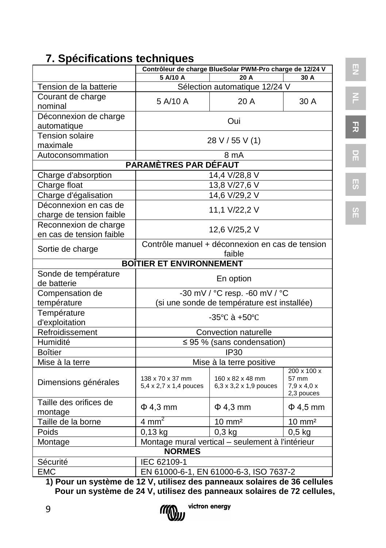## **7. Spécifications techniques**

|                                 | Contrôleur de charge BlueSolar PWM-Pro charge de 12/24 V |                                                  |                                                             |  |
|---------------------------------|----------------------------------------------------------|--------------------------------------------------|-------------------------------------------------------------|--|
|                                 | 5 A/10 A<br>30 A<br>20 A                                 |                                                  |                                                             |  |
| Tension de la batterie          | Sélection automatique 12/24 V                            |                                                  |                                                             |  |
| Courant de charge               | 5 A/10 A                                                 | 20 A                                             | 30 A                                                        |  |
| nominal                         |                                                          |                                                  |                                                             |  |
| Déconnexion de charge           | Oui                                                      |                                                  |                                                             |  |
| automatique                     |                                                          |                                                  |                                                             |  |
| <b>Tension solaire</b>          |                                                          | 28 V / 55 V (1)                                  |                                                             |  |
| maximale                        |                                                          |                                                  |                                                             |  |
| Autoconsommation                |                                                          | 8 mA                                             |                                                             |  |
|                                 | PARAMÈTRES PAR DÉFAUT                                    |                                                  |                                                             |  |
| Charge d'absorption             |                                                          | 14,4 V/28,8 V                                    |                                                             |  |
| Charge float                    |                                                          | 13,8 V/27,6 V                                    |                                                             |  |
| Charge d'égalisation            |                                                          | 14,6 V/29,2 V                                    |                                                             |  |
| Déconnexion en cas de           |                                                          | 11,1 V/22,2 V                                    |                                                             |  |
| charge de tension faible        |                                                          |                                                  |                                                             |  |
| Reconnexion de charge           |                                                          |                                                  |                                                             |  |
| en cas de tension faible        | 12,6 V/25,2 V                                            |                                                  |                                                             |  |
|                                 | Contrôle manuel + déconnexion en cas de tension          |                                                  |                                                             |  |
| Sortie de charge<br>faible      |                                                          |                                                  |                                                             |  |
| <b>BOITIER ET ENVIRONNEMENT</b> |                                                          |                                                  |                                                             |  |
| Sonde de température            |                                                          |                                                  |                                                             |  |
| de batterie                     | En option                                                |                                                  |                                                             |  |
| Compensation de                 | -30 mV / °C resp. -60 mV / °C                            |                                                  |                                                             |  |
| température                     |                                                          | (si une sonde de température est installée)      |                                                             |  |
| Température                     |                                                          | $-35^{\circ}$ C à $+50^{\circ}$ C                |                                                             |  |
| d'exploitation                  |                                                          |                                                  |                                                             |  |
| Refroidissement                 |                                                          | Convection naturelle                             |                                                             |  |
| Humidité                        |                                                          | $\leq$ 95 % (sans condensation)                  |                                                             |  |
| <b>Boîtier</b>                  |                                                          | <b>IP30</b>                                      |                                                             |  |
| Mise à la terre                 |                                                          | Mise à la terre positive                         |                                                             |  |
| Dimensions générales            | 138 x 70 x 37 mm<br>5,4 x 2,7 x 1,4 pouces               | 160 x 82 x 48 mm<br>6,3 x 3,2 x 1,9 pouces       | $200 \times 100 \times$<br>57 mm<br>$7,9 \times 4,0 \times$ |  |
|                                 |                                                          |                                                  | 2,3 pouces                                                  |  |
| Taille des orifices de          | $\Phi$ 4,3 mm                                            | $\Phi$ 4,3 mm                                    | $\Phi$ 4,5 mm                                               |  |
| montage                         | $4 \text{ mm}^2$                                         |                                                  |                                                             |  |
| Taille de la borne              |                                                          | $10 \text{ mm}^2$                                | $10 \text{ mm}^2$                                           |  |
| Poids                           | $0,13$ kg                                                | $0,3$ kg                                         | $0,5$ kg                                                    |  |
| Montage                         | <b>NORMES</b>                                            | Montage mural vertical - seulement à l'intérieur |                                                             |  |
|                                 |                                                          |                                                  |                                                             |  |
|                                 | Sécurité<br>IEC 62109-1                                  |                                                  |                                                             |  |
| <b>EMC</b>                      | EN 61000-6-1, EN 61000-6-3, ISO 7637-2                   |                                                  |                                                             |  |

**NL**

**FR**

**DE**

**ES**

**SE**

**1) Pour un système de 12 V, utilisez des panneaux solaires de 36 cellules Pour un système de 24 V, utilisez des panneaux solaires de 72 cellules,** 

9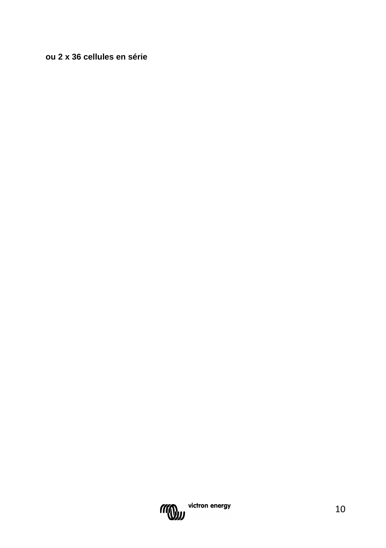#### **ou 2 x 36 cellules en série**

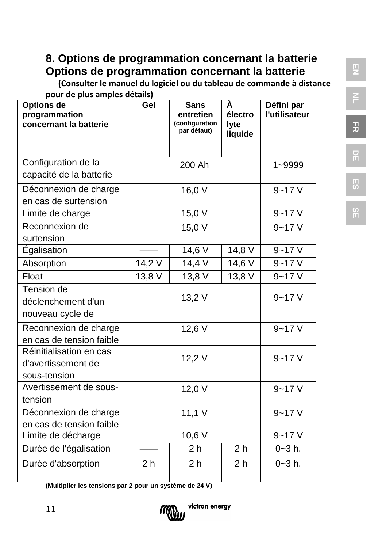## **8. Options de programmation concernant la batterie Options de programmation concernant la batterie**

 **(Consulter le manuel du logiciel ou du tableau de commande à distance pour de plus amples détails)**

| pour ac plus amples actually<br>Options de<br>programmation<br>concernant la batterie | Gel                              | <b>Sans</b><br>entretien<br>(configuration<br>par défaut) | À<br>électro<br>lyte | Défini par<br>l'utilisateur |
|---------------------------------------------------------------------------------------|----------------------------------|-----------------------------------------------------------|----------------------|-----------------------------|
|                                                                                       |                                  |                                                           | liquide              |                             |
| Configuration de la<br>capacité de la batterie                                        |                                  | 200 Ah                                                    |                      | 1~9999                      |
| Déconnexion de charge<br>en cas de surtension                                         |                                  | 16,0 V                                                    |                      | $9 - 17V$                   |
| Limite de charge                                                                      |                                  | 15,0V                                                     |                      | $9 - 17V$                   |
| Reconnexion de<br>surtension                                                          |                                  | 15,0 V                                                    |                      | $9 - 17V$                   |
| Égalisation                                                                           |                                  | $14,6$ V                                                  | 14,8V                | $9 - 17V$                   |
| Absorption                                                                            | 14,2 V                           | 14,4 V                                                    | 14,6 V               | $9 - 17V$                   |
| Float                                                                                 | 13,8 V                           | 13,8 V                                                    | 13,8 V               | $9 - 17V$                   |
| Tension de<br>déclenchement d'un<br>nouveau cycle de                                  | 13,2 V                           |                                                           |                      | $9 - 17V$                   |
| Reconnexion de charge<br>en cas de tension faible                                     | 12,6 V                           |                                                           |                      | $9 - 17V$                   |
| Réinitialisation en cas<br>d'avertissement de<br>sous-tension                         | 12,2 V                           |                                                           |                      | $9 - 17V$                   |
| Avertissement de sous-<br>tension                                                     | 12,0 V                           |                                                           |                      | $9 - 17V$                   |
| Déconnexion de charge<br>en cas de tension faible                                     | 11,1 V                           |                                                           |                      | $9 - 17V$                   |
| Limite de décharge                                                                    |                                  | 10,6 V                                                    |                      | $9 - 17V$                   |
| Durée de l'égalisation                                                                | 2 <sub>h</sub><br>2 <sub>h</sub> |                                                           | $0 - 3 h$ .          |                             |
| Durée d'absorption                                                                    | 2 <sub>h</sub>                   | 2 <sub>h</sub>                                            | 2 <sub>h</sub>       | $0 - 3 h$ .                 |

**(Multiplier les tensions par 2 pour un système de 24 V)**

11



**NL FR DE ES SE**

**EN**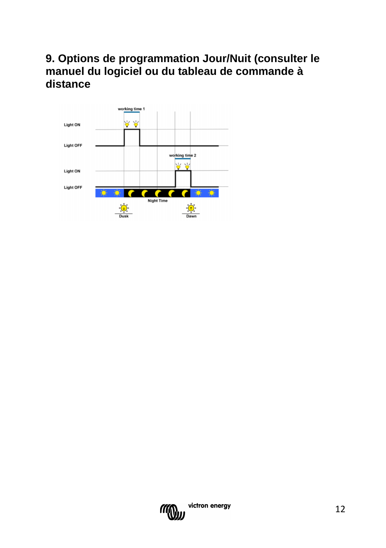## **9. Options de programmation Jour/Nuit (consulter le manuel du logiciel ou du tableau de commande à distance**



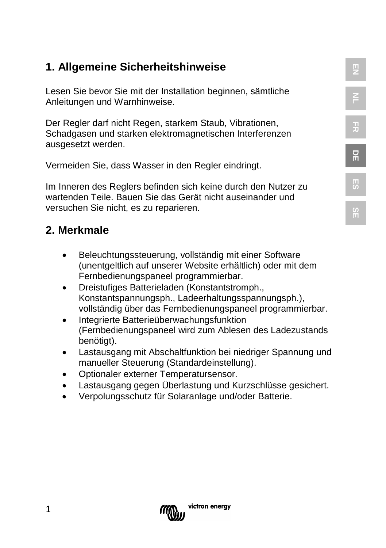## **1. Allgemeine Sicherheitshinweise**

Lesen Sie bevor Sie mit der Installation beginnen, sämtliche Anleitungen und Warnhinweise.

Der Regler darf nicht Regen, starkem Staub, Vibrationen, Schadgasen und starken elektromagnetischen Interferenzen ausgesetzt werden.

Vermeiden Sie, dass Wasser in den Regler eindringt.

Im Inneren des Reglers befinden sich keine durch den Nutzer zu wartenden Teile. Bauen Sie das Gerät nicht auseinander und versuchen Sie nicht, es zu reparieren.

## **2. Merkmale**

- Beleuchtungssteuerung, vollständig mit einer Software (unentgeltlich auf unserer Website erhältlich) oder mit dem Fernbedienungspaneel programmierbar.
- Dreistufiges Batterieladen (Konstantstromph., Konstantspannungsph., Ladeerhaltungsspannungsph.), vollständig über das Fernbedienungspaneel programmierbar.
- Integrierte Batterieüberwachungsfunktion (Fernbedienungspaneel wird zum Ablesen des Ladezustands benötigt).
- Lastausgang mit Abschaltfunktion bei niedriger Spannung und manueller Steuerung (Standardeinstellung).
- Optionaler externer Temperatursensor.
- Lastausgang gegen Überlastung und Kurzschlüsse gesichert.
- Verpolungsschutz für Solaranlage und/oder Batterie.



**EN**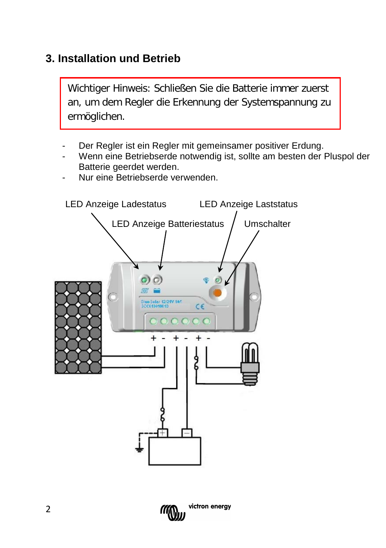## **3. Installation und Betrieb**

Wichtiger Hinweis: Schließen Sie die Batterie immer zuerst an, um dem Regler die Erkennung der Systemspannung zu ermöglichen.

- Der Regler ist ein Regler mit gemeinsamer positiver Erdung.
- Wenn eine Betriebserde notwendig ist, sollte am besten der Pluspol der Batterie geerdet werden.
- Nur eine Betriebserde verwenden.



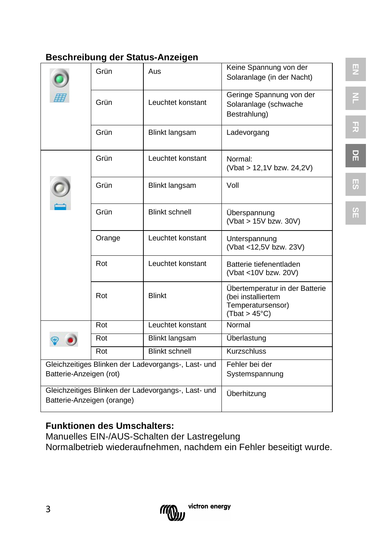## **Beschreibung der Status-Anzeigen**

|                                                     |        |                       | Keine Spannung von der                  |  |
|-----------------------------------------------------|--------|-----------------------|-----------------------------------------|--|
|                                                     | Grün   | Aus                   | Solaranlage (in der Nacht)              |  |
|                                                     | Grün   | Leuchtet konstant     | Geringe Spannung von der                |  |
|                                                     |        |                       | Solaranlage (schwache<br>Bestrahlung)   |  |
|                                                     |        |                       |                                         |  |
|                                                     | Grün   | Blinkt langsam        | Ladevorgang                             |  |
|                                                     |        |                       |                                         |  |
|                                                     | Grün   | Leuchtet konstant     | Normal:<br>(Vbat > 12,1V bzw. 24,2V)    |  |
|                                                     |        |                       |                                         |  |
|                                                     | Grün   | Blinkt langsam        | Voll                                    |  |
|                                                     |        |                       |                                         |  |
|                                                     | Grün   | <b>Blinkt schnell</b> | Überspannung                            |  |
|                                                     |        |                       | (Vbat > 15V bzw. 30V)                   |  |
|                                                     | Orange | Leuchtet konstant     | Unterspannung                           |  |
|                                                     |        |                       | (Vbat <12,5V bzw. 23V)                  |  |
|                                                     | Rot    | Leuchtet konstant     | Batterie tiefenentladen                 |  |
|                                                     |        |                       | (Vbat <10V bzw. 20V)                    |  |
|                                                     |        |                       | Übertemperatur in der Batterie          |  |
|                                                     | Rot    | <b>Blinkt</b>         | (bei installiertem<br>Temperatursensor) |  |
|                                                     |        |                       | (That > 45°C)                           |  |
|                                                     | Rot    | Leuchtet konstant     | Normal                                  |  |
|                                                     | Rot    | Blinkt langsam        | Überlastung                             |  |
|                                                     | Rot    | <b>Blinkt schnell</b> | <b>Kurzschluss</b>                      |  |
| Gleichzeitiges Blinken der Ladevorgangs-, Last- und |        |                       | Fehler bei der                          |  |
| Batterie-Anzeigen (rot)                             |        | Systemspannung        |                                         |  |
| Gleichzeitiges Blinken der Ladevorgangs-, Last- und |        |                       | Überhitzung                             |  |
| Batterie-Anzeigen (orange)                          |        |                       |                                         |  |

## **Funktionen des Umschalters:**

Manuelles EIN-/AUS-Schalten der Lastregelung Normalbetrieb wiederaufnehmen, nachdem ein Fehler beseitigt wurde.



$$
M = \mathbf{R}
$$

**DE**

3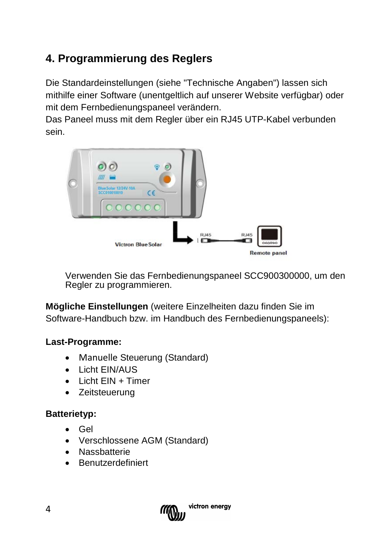## **4. Programmierung des Reglers**

Die Standardeinstellungen (siehe "Technische Angaben") lassen sich mithilfe einer Software (unentgeltlich auf unserer Website verfügbar) oder mit dem Fernbedienungspaneel verändern.

Das Paneel muss mit dem Regler über ein RJ45 UTP-Kabel verbunden sein.



Verwenden Sie das Fernbedienungspaneel SCC900300000, um den Regler zu programmieren.

**Mögliche Einstellungen** (weitere Einzelheiten dazu finden Sie im Software-Handbuch bzw. im Handbuch des Fernbedienungspaneels):

#### **Last-Programme:**

- [Manuelle](app:ds:manual) Steuerung (Standard)
- Licht EIN/AUS
- $\bullet$  Licht FIN + Timer
- Zeitsteuerung

## **Batterietyp:**

- Gel
- Verschlossene AGM (Standard)
- Nassbatterie
- Benutzerdefiniert

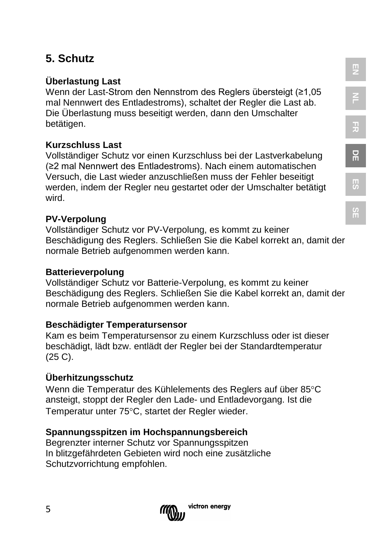## **5. Schutz**

## **Überlastung Last**

Wenn der Last-Strom den Nennstrom des Reglers übersteigt (≥1,05 mal Nennwert des Entladestroms), schaltet der Regler die Last ab. Die Überlastung muss beseitigt werden, dann den Umschalter betätigen.

#### **Kurzschluss Last**

Vollständiger Schutz vor einen Kurzschluss bei der Lastverkabelung (≥2 mal Nennwert des Entladestroms). Nach einem automatischen Versuch, die Last wieder anzuschließen muss der Fehler beseitigt werden, indem der Regler neu gestartet oder der Umschalter betätigt wird.

#### **PV-Verpolung**

Vollständiger Schutz vor PV-Verpolung, es kommt zu keiner Beschädigung des Reglers. Schließen Sie die Kabel korrekt an, damit der normale Betrieb aufgenommen werden kann.

#### **Batterieverpolung**

Vollständiger Schutz vor Batterie-Verpolung, es kommt zu keiner Beschädigung des Reglers. Schließen Sie die Kabel korrekt an, damit der normale Betrieb aufgenommen werden kann.

#### **Beschädigter Temperatursensor**

Kam es beim Temperatursensor zu einem Kurzschluss oder ist dieser beschädigt, lädt bzw. entlädt der Regler bei der Standardtemperatur (25 C).

#### **Überhitzungsschutz**

5

Wenn die Temperatur des Kühlelements des Reglers auf über 85°C ansteigt, stoppt der Regler den Lade- und Entladevorgang. Ist die Temperatur unter 75°C, startet der Regler wieder.

#### **Spannungsspitzen im Hochspannungsbereich**

Begrenzter interner Schutz vor Spannungsspitzen In blitzgefährdeten Gebieten wird noch eine zusätzliche Schutzvorrichtung empfohlen.



# **FR**

**DE**

# **ES**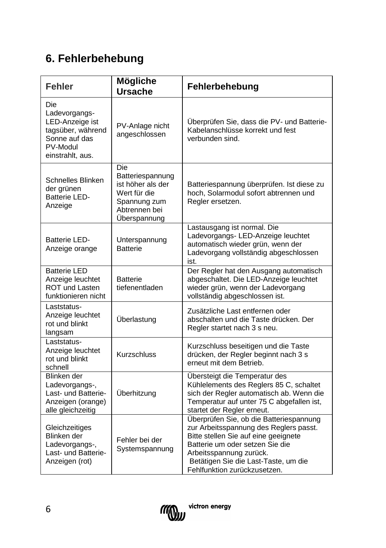## **6. Fehlerbehebung**

| <b>Fehler</b>                                                                                                 | Mögliche<br><b>Ursache</b>                                                                                    | Fehlerbehebung                                                                                                                                                                                                                                                  |
|---------------------------------------------------------------------------------------------------------------|---------------------------------------------------------------------------------------------------------------|-----------------------------------------------------------------------------------------------------------------------------------------------------------------------------------------------------------------------------------------------------------------|
| Die<br>Ladevorgangs-<br>LED-Anzeige ist<br>tagsüber, während<br>Sonne auf das<br>PV-Modul<br>einstrahlt, aus. | PV-Anlage nicht<br>angeschlossen                                                                              | Überprüfen Sie, dass die PV- und Batterie-<br>Kabelanschlüsse korrekt und fest<br>verbunden sind.                                                                                                                                                               |
| Schnelles Blinken<br>der grünen<br><b>Batterie LED-</b><br>Anzeige                                            | Die<br>Batteriespannung<br>ist höher als der<br>Wert für die<br>Spannung zum<br>Abtrennen bei<br>Überspannung | Batteriespannung überprüfen. Ist diese zu<br>hoch. Solarmodul sofort abtrennen und<br>Regler ersetzen.                                                                                                                                                          |
| Batterie LED-<br>Anzeige orange                                                                               | Unterspannung<br><b>Batterie</b>                                                                              | Lastausgang ist normal. Die<br>Ladevorgangs-LED-Anzeige leuchtet<br>automatisch wieder grün, wenn der<br>Ladevorgang vollständig abgeschlossen<br>ist.                                                                                                          |
| <b>Batterie LED</b><br>Anzeige leuchtet<br><b>ROT und Lasten</b><br>funktionieren nicht                       | <b>Batterie</b><br>tiefenentladen                                                                             | Der Regler hat den Ausgang automatisch<br>abgeschaltet. Die LED-Anzeige leuchtet<br>wieder grün, wenn der Ladevorgang<br>vollständig abgeschlossen ist.                                                                                                         |
| Laststatus-<br>Anzeige leuchtet<br>rot und blinkt<br>langsam                                                  | Überlastung                                                                                                   | Zusätzliche Last entfernen oder<br>abschalten und die Taste drücken. Der<br>Regler startet nach 3 s neu.                                                                                                                                                        |
| Laststatus-<br>Anzeige leuchtet<br>rot und blinkt<br>schnell                                                  | <b>Kurzschluss</b>                                                                                            | Kurzschluss beseitigen und die Taste<br>drücken, der Regler beginnt nach 3 s<br>erneut mit dem Betrieb.                                                                                                                                                         |
| Blinken der<br>Ladevorgangs-,<br>Last- und Batterie-<br>Anzeigen (orange)<br>alle gleichzeitig                | Überhitzung                                                                                                   | Übersteigt die Temperatur des<br>Kühlelements des Reglers 85 C, schaltet<br>sich der Regler automatisch ab. Wenn die<br>Temperatur auf unter 75 C abgefallen ist,<br>startet der Regler erneut.                                                                 |
| Gleichzeitiges<br>Blinken der<br>Ladevorgangs-,<br>Last- und Batterie-<br>Anzeigen (rot)                      | Fehler bei der<br>Systemspannung                                                                              | Überprüfen Sie, ob die Batteriespannung<br>zur Arbeitsspannung des Reglers passt.<br>Bitte stellen Sie auf eine geeignete<br>Batterie um oder setzen Sie die<br>Arbeitsspannung zurück.<br>Betätigen Sie die Last-Taste, um die<br>Fehlfunktion zurückzusetzen. |

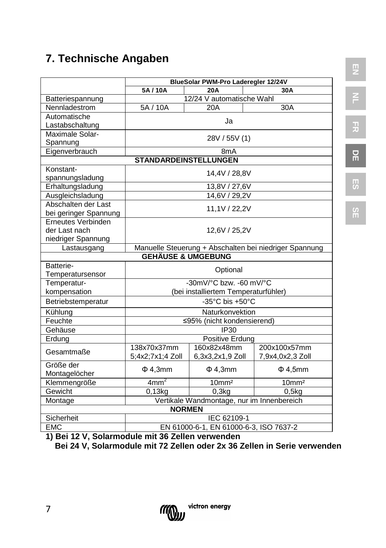## **7. Technische Angaben**

|                               | BlueSolar PWM-Pro Laderegler 12/24V                    |                                               |                    |  |
|-------------------------------|--------------------------------------------------------|-----------------------------------------------|--------------------|--|
|                               | 5A/10A<br>20A<br>30A                                   |                                               |                    |  |
| Batteriespannung              | 12/24 V automatische Wahl                              |                                               |                    |  |
| Nennladestrom                 | 5A / 10A                                               | 20A                                           | 30A                |  |
| Automatische                  |                                                        | Ja                                            |                    |  |
| Lastabschaltung               |                                                        |                                               |                    |  |
| Maximale Solar-               |                                                        | 28V / 55V (1)                                 |                    |  |
| Spannung                      |                                                        |                                               |                    |  |
| Eigenverbrauch                |                                                        | 8 <sub>m</sub> A                              |                    |  |
|                               | <b>STANDARDEINSTELLUNGEN</b>                           |                                               |                    |  |
| Konstant-                     |                                                        | 14,4V / 28,8V                                 |                    |  |
| spannungsladung               |                                                        |                                               |                    |  |
| Erhaltungsladung              |                                                        | 13,8V / 27,6V                                 |                    |  |
| Ausgleichsladung              |                                                        | 14,6V / 29,2V                                 |                    |  |
| Abschalten der Last           |                                                        | 11.1V / 22.2V                                 |                    |  |
| bei geringer Spannung         |                                                        |                                               |                    |  |
| Erneutes Verbinden            |                                                        |                                               |                    |  |
| der Last nach                 |                                                        | 12,6V / 25,2V                                 |                    |  |
| niedriger Spannung            |                                                        |                                               |                    |  |
| Lastausgang                   | Manuelle Steuerung + Abschalten bei niedriger Spannung |                                               |                    |  |
| <b>GEHÄUSE &amp; UMGEBUNG</b> |                                                        |                                               |                    |  |
| Batterie-                     |                                                        | Optional                                      |                    |  |
| Temperatursensor              |                                                        |                                               |                    |  |
| Temperatur-                   |                                                        | -30mV/ $^{\circ}$ C bzw. -60 mV/ $^{\circ}$ C |                    |  |
| kompensation                  |                                                        | (bei installiertem Temperaturfühler)          |                    |  |
| Betriebstemperatur            |                                                        | -35 $^{\circ}$ C bis +50 $^{\circ}$ C         |                    |  |
| Kühlung                       |                                                        | Naturkonvektion                               |                    |  |
| Feuchte                       |                                                        | ≤95% (nicht kondensierend)                    |                    |  |
| Gehäuse                       |                                                        | IP30                                          |                    |  |
| Erdung                        |                                                        | Positive Erdung                               |                    |  |
| Gesamtmaße                    | 138x70x37mm                                            | 160x82x48mm                                   | 200x100x57mm       |  |
|                               | 5;4x2;7x1;4 Zoll                                       | 6,3x3,2x1,9 Zoll                              | 7,9x4,0x2,3 Zoll   |  |
| Größe der                     | $\Phi$ 4,3mm                                           | $\Phi$ 4,3mm                                  | $\Phi$ 4,5mm       |  |
| Montagelöcher                 |                                                        |                                               |                    |  |
| Klemmengröße                  | $4 \text{mm}^2$                                        | 10 <sub>mm²</sub>                             | 10mm <sup>2</sup>  |  |
| Gewicht                       | $0.13$ kg                                              | 0.3 <sub>k</sub> q                            | 0.5 <sub>k</sub> q |  |
| Montage                       |                                                        | Vertikale Wandmontage, nur im Innenbereich    |                    |  |
|                               | <b>NORMEN</b>                                          |                                               |                    |  |
| Sicherheit                    |                                                        | IEC 62109-1                                   |                    |  |
| <b>EMC</b>                    | EN 61000-6-1, EN 61000-6-3, ISO 7637-2                 |                                               |                    |  |

F<sub>1</sub>

**FR**

**DE**

**ES**

**SE**

**1) Bei 12 V, Solarmodule mit 36 Zellen verwenden**

 **Bei 24 V, Solarmodule mit 72 Zellen oder 2x 36 Zellen in Serie verwenden**

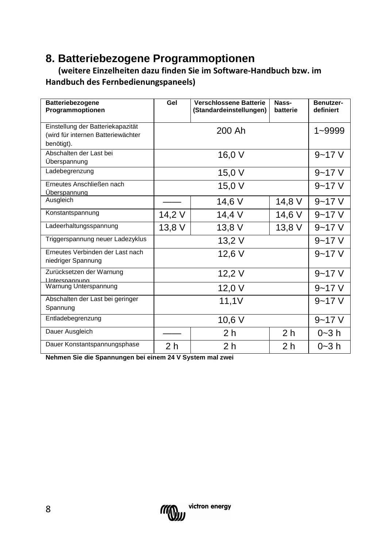## **8. Batteriebezogene Programmoptionen**

 **(weitere Einzelheiten dazu finden Sie im Software-Handbuch bzw. im Handbuch des Fernbedienungspaneels)**

| <b>Batteriebezogene</b><br>Programmoptionen                                           | Gel                   | Verschlossene Batterie<br>(Standardeinstellungen) | Nass-<br>batterie | Benutzer-<br>definiert |
|---------------------------------------------------------------------------------------|-----------------------|---------------------------------------------------|-------------------|------------------------|
| Einstellung der Batteriekapazität<br>(wird für internen Batteriewächter<br>benötigt). | 200 Ah                |                                                   |                   | 1~9999                 |
| Abschalten der Last bei<br>Überspannung                                               |                       | 16,0 V                                            |                   | $9 - 17$ V             |
| Ladebegrenzung                                                                        |                       | 15,0 V                                            |                   | $9 - 17$ V             |
| Erneutes Anschließen nach<br><b>Uberspannung</b>                                      |                       | 15,0 V                                            |                   | $9 - 17$ V             |
| Ausgleich                                                                             |                       | 14,6 V                                            | 14,8 V            | $9 - 17$ V             |
| Konstantspannung                                                                      | 14,2 V                | 14,4 V                                            | 14,6 V            | $9 - 17$ V             |
| Ladeerhaltungsspannung                                                                | 13,8 V                | 13,8 V                                            | 13,8 V            | $9 - 17$ V             |
| Triggerspannung neuer Ladezyklus                                                      |                       | $9 - 17$ V                                        |                   |                        |
| Erneutes Verbinden der Last nach<br>niedriger Spannung                                | 12,6 V                |                                                   |                   | $9 - 17$ V             |
| Zurücksetzen der Warnung<br>Unterspannung                                             |                       | 12,2 V                                            |                   | $9 - 17$ V             |
| Warnung Unterspannung                                                                 | 12,0 V                |                                                   |                   | $9 - 17$ V             |
| Abschalten der Last bei geringer<br>Spannung                                          | 11,1V                 |                                                   |                   | $9 - 17$ V             |
| Entladebegrenzung                                                                     | 10,6 V                |                                                   |                   | $9 - 17V$              |
| Dauer Ausgleich                                                                       | 2 h<br>2 <sub>h</sub> |                                                   | $0 - 3 h$         |                        |
| Dauer Konstantspannungsphase                                                          | 2 h                   | 2 h                                               | 2 h               | $0 - 3 h$              |

**Nehmen Sie die Spannungen bei einem 24 V System mal zwei**

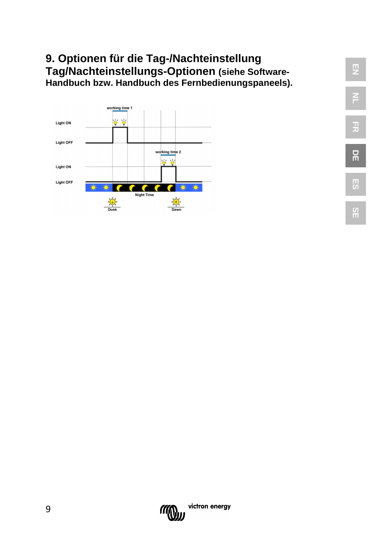## **9. Optionen für die Tag-/Nachteinstellung Tag/Nachteinstellungs-Optionen (siehe Software-Handbuch bzw. Handbuch des Fernbedienungspaneels).**





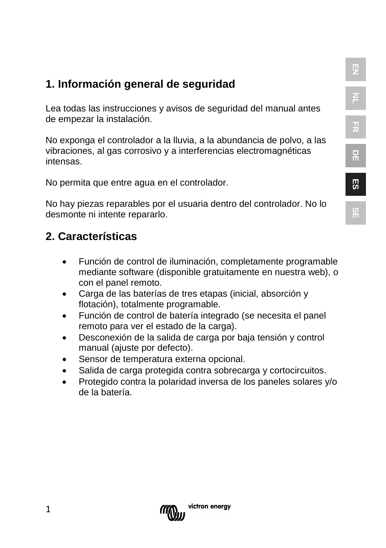**ES**

## **1. Información general de seguridad**

Lea todas las instrucciones y avisos de seguridad del manual antes de empezar la instalación.

No exponga el controlador a la lluvia, a la abundancia de polvo, a las vibraciones, al gas corrosivo y a interferencias electromagnéticas intensas.

No permita que entre agua en el controlador.

No hay piezas reparables por el usuaria dentro del controlador. No lo desmonte ni intente repararlo.

## **2. Características**

- Función de control de iluminación, completamente programable mediante software (disponible gratuitamente en nuestra web), o con el panel remoto.
- Carga de las baterías de tres etapas (inicial, absorción y flotación), totalmente programable.
- Función de control de batería integrado (se necesita el panel remoto para ver el estado de la carga).
- Desconexión de la salida de carga por baja tensión y control manual (ajuste por defecto).
- Sensor de temperatura externa opcional.
- Salida de carga protegida contra sobrecarga y cortocircuitos.
- Protegido contra la polaridad inversa de los paneles solares y/o de la batería.

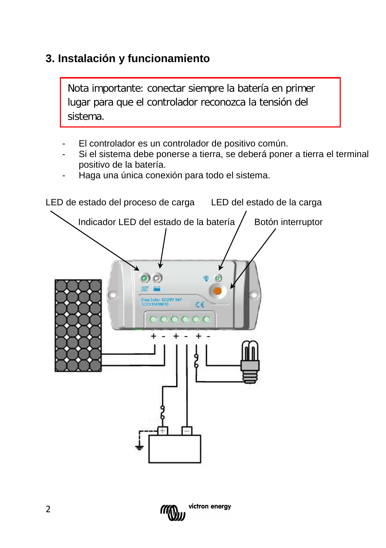## **3. Instalación y funcionamiento**

Nota importante: conectar siempre la batería en primer lugar para que el controlador reconozca la tensión del sistema.

- El controlador es un controlador de positivo común.
- Si el sistema debe ponerse a tierra, se deberá poner a tierra el terminal positivo de la batería.
- Haga una única conexión para todo el sistema.



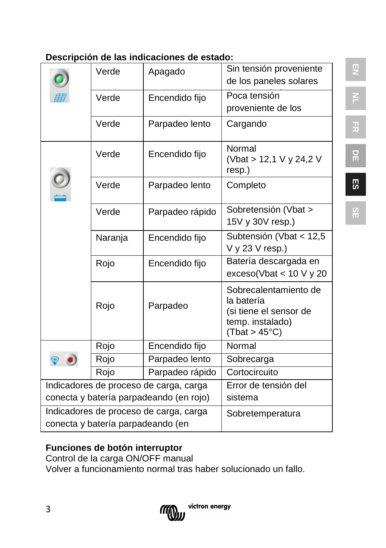|  | Descripción de las indicaciones de estado: |  |
|--|--------------------------------------------|--|
|  |                                            |  |

|                                         | Verde   | Apagado         | Sin tensión proveniente<br>de los paneles solares                                                  |
|-----------------------------------------|---------|-----------------|----------------------------------------------------------------------------------------------------|
|                                         | Verde   | Encendido fijo  | Poca tensión<br>proveniente de los                                                                 |
|                                         | Verde   | Parpadeo lento  | Cargando                                                                                           |
|                                         | Verde   | Encendido fijo  | Normal<br>(Vbat > 12,1 V y 24,2 V<br>resp.)                                                        |
|                                         | Verde   | Parpadeo lento  | Completo                                                                                           |
|                                         | Verde   | Parpadeo rápido | Sobretensión (Vbat ><br>15V y 30V resp.)                                                           |
|                                         | Naranja | Encendido fijo  | Subtensión (Vbat < 12,5<br>V y 23 V resp.)                                                         |
|                                         | Rojo    | Encendido fijo  | Batería descargada en<br>exceso(Vbat < 10 V y 20                                                   |
|                                         | Rojo    | Parpadeo        | Sobrecalentamiento de<br>la batería<br>(si tiene el sensor de<br>temp. instalado)<br>(That > 45°C) |
|                                         | Rojo    | Encendido fijo  | Normal                                                                                             |
|                                         | Rojo    | Parpadeo lento  | Sobrecarga                                                                                         |
|                                         | Rojo    | Parpadeo rápido | Cortocircuito                                                                                      |
| Indicadores de proceso de carga, carga  |         |                 | Error de tensión del                                                                               |
| conecta y batería parpadeando (en rojo) |         |                 | sistema                                                                                            |
| Indicadores de proceso de carga, carga  |         |                 | Sobretemperatura                                                                                   |
| conecta y batería parpadeando (en       |         |                 |                                                                                                    |

## **Funciones de botón interruptor**

Control de la carga ON/OFF manual Volver a funcionamiento normal tras haber solucionado un fallo.



**DE**

**EN**

F<sub>1</sub>

**FR**

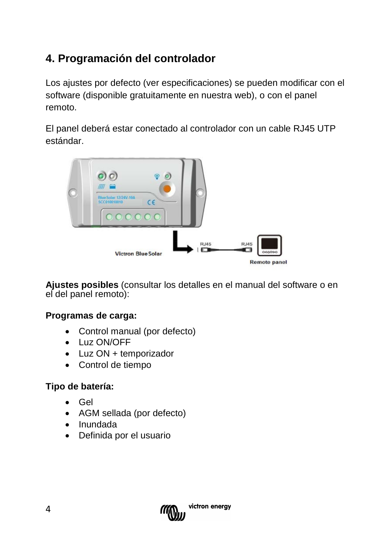## **4. Programación del controlador**

Los ajustes por defecto (ver especificaciones) se pueden modificar con el software (disponible gratuitamente en nuestra web), o con el panel remoto.

El panel deberá estar conectado al controlador con un cable RJ45 UTP estándar.



**Ajustes posibles** (consultar los detalles en el manual del software o en el del panel remoto):

#### **Programas de carga:**

- [Control](app:ds:manual) manual (por defecto)
- Luz ON/OFF
- Luz ON + temporizador
- Control de tiempo

#### **Tipo de batería:**

- Gel
- AGM sellada (por defecto)
- Inundada
- Definida por el usuario

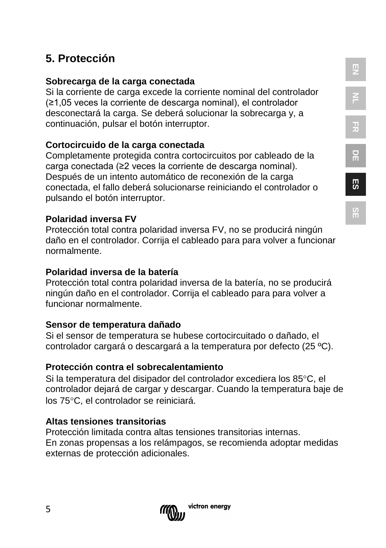# **5. Protección**

## **Sobrecarga de la carga conectada**

Si la corriente de carga excede la corriente nominal del controlador (≥1,05 veces la corriente de descarga nominal), el controlador desconectará la carga. Se deberá solucionar la sobrecarga y, a continuación, pulsar el botón interruptor.

## **Cortocircuido de la carga conectada**

Completamente protegida contra cortocircuitos por cableado de la carga conectada (≥2 veces la corriente de descarga nominal). Después de un intento automático de reconexión de la carga conectada, el fallo deberá solucionarse reiniciando el controlador o pulsando el botón interruptor.

## **Polaridad inversa FV**

Protección total contra polaridad inversa FV, no se producirá ningún daño en el controlador. Corrija el cableado para para volver a funcionar normalmente.

## **Polaridad inversa de la batería**

Protección total contra polaridad inversa de la batería, no se producirá ningún daño en el controlador. Corrija el cableado para para volver a funcionar normalmente.

## **Sensor de temperatura dañado**

Si el sensor de temperatura se hubese cortocircuitado o dañado, el controlador cargará o descargará a la temperatura por defecto (25 ºC).

## **Protección contra el sobrecalentamiento**

Si la temperatura del disipador del controlador excediera los 85°C, el controlador dejará de cargar y descargar. Cuando la temperatura baje de los 75°C, el controlador se reiniciará.

## **Altas tensiones transitorias**

Protección limitada contra altas tensiones transitorias internas. En zonas propensas a los relámpagos, se recomienda adoptar medidas externas de protección adicionales.

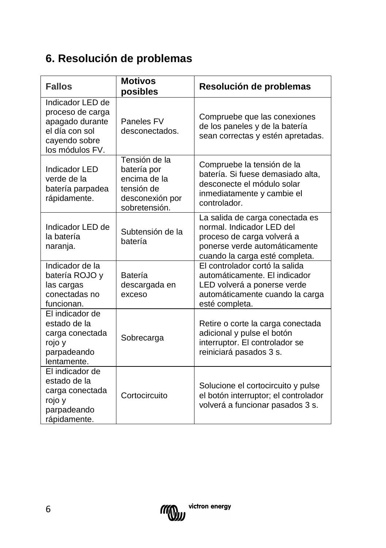## **6. Resolución de problemas**

| <b>Fallos</b>                                                                                                 | <b>Motivos</b><br>posibles                                                                     | Resolución de problemas                                                                                                                                       |
|---------------------------------------------------------------------------------------------------------------|------------------------------------------------------------------------------------------------|---------------------------------------------------------------------------------------------------------------------------------------------------------------|
| Indicador LED de<br>proceso de carga<br>apagado durante<br>el día con sol<br>cayendo sobre<br>los módulos FV. | Paneles FV<br>desconectados.                                                                   | Compruebe que las conexiones<br>de los paneles y de la batería<br>sean correctas y estén apretadas.                                                           |
| Indicador LED<br>verde de la<br>batería parpadea<br>rápidamente.                                              | Tensión de la<br>batería por<br>encima de la<br>tensión de<br>desconexión por<br>sobretensión. | Compruebe la tensión de la<br>batería. Si fuese demasiado alta,<br>desconecte el módulo solar<br>inmediatamente y cambie el<br>controlador.                   |
| Indicador LED de<br>la batería<br>naranja.                                                                    | Subtensión de la<br>batería                                                                    | La salida de carga conectada es<br>normal. Indicador LED del<br>proceso de carga volverá a<br>ponerse verde automáticamente<br>cuando la carga esté completa. |
| Indicador de la<br>batería ROJO v<br>las cargas<br>conectadas no<br>funcionan.                                | Batería<br>descargada en<br>exceso                                                             | El controlador cortó la salida<br>automáticamente. El indicador<br>LED volverá a ponerse verde<br>automáticamente cuando la carga<br>esté completa.           |
| El indicador de<br>estado de la<br>carga conectada<br>rojo y<br>parpadeando<br>lentamente.                    | Sobrecarga                                                                                     | Retire o corte la carga conectada<br>adicional y pulse el botón<br>interruptor. El controlador se<br>reiniciará pasados 3 s.                                  |
| El indicador de<br>estado de la<br>carga conectada<br>rojo y<br>parpadeando<br>rápidamente.                   | Cortocircuito                                                                                  | Solucione el cortocircuito y pulse<br>el botón interruptor; el controlador<br>volverá a funcionar pasados 3 s.                                                |

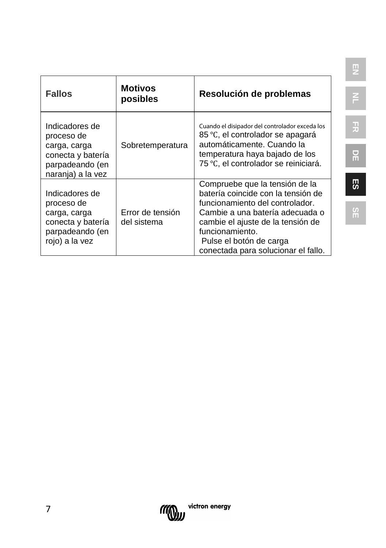| <b>Fallos</b>                                                                                             | <b>Motivos</b><br>posibles      | Resolución de problemas                                                                                                                                                                                                                                              |
|-----------------------------------------------------------------------------------------------------------|---------------------------------|----------------------------------------------------------------------------------------------------------------------------------------------------------------------------------------------------------------------------------------------------------------------|
| Indicadores de<br>proceso de<br>carga, carga<br>conecta y batería<br>parpadeando (en<br>naranja) a la vez | Sobretemperatura                | Cuando el disipador del controlador exceda los<br>85 °C, el controlador se apagará<br>automáticamente. Cuando la<br>temperatura haya bajado de los<br>75 °C, el controlador se reiniciará.                                                                           |
| Indicadores de<br>proceso de<br>carga, carga<br>conecta y batería<br>parpadeando (en<br>rojo) a la vez    | Error de tensión<br>del sistema | Compruebe que la tensión de la<br>batería coincide con la tensión de<br>funcionamiento del controlador.<br>Cambie a una batería adecuada o<br>cambie el ajuste de la tensión de<br>funcionamiento.<br>Pulse el botón de carga<br>conectada para solucionar el fallo. |

**FR**

**SE**

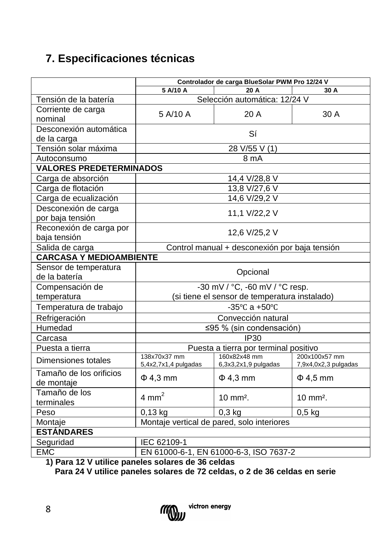## **7. Especificaciones técnicas**

|                                                   | Controlador de carga BlueSolar PWM Pro 12/24 V                 |                                               |                      |  |  |
|---------------------------------------------------|----------------------------------------------------------------|-----------------------------------------------|----------------------|--|--|
|                                                   | 5 A/10 A<br>20 A<br>30 A                                       |                                               |                      |  |  |
| Tensión de la batería                             |                                                                | Selección automática: 12/24 V                 |                      |  |  |
| Corriente de carga                                | 5 A/10 A                                                       | 20 A                                          | 30 A                 |  |  |
| nominal                                           |                                                                |                                               |                      |  |  |
| Desconexión automática                            |                                                                | Sí                                            |                      |  |  |
| de la carga                                       |                                                                |                                               |                      |  |  |
| Tensión solar máxima                              |                                                                | 28 V/55 V (1)                                 |                      |  |  |
| Autoconsumo                                       |                                                                | 8 mA                                          |                      |  |  |
| <b>VALORES PREDETERMINADOS</b>                    |                                                                |                                               |                      |  |  |
| Carga de absorción                                |                                                                | 14,4 V/28,8 V                                 |                      |  |  |
| Carga de flotación                                |                                                                | 13,8 V/27,6 V                                 |                      |  |  |
| Carga de ecualización                             |                                                                | 14,6 V/29,2 V                                 |                      |  |  |
| Desconexión de carga                              |                                                                | 11,1 V/22,2 V                                 |                      |  |  |
| por baja tensión                                  |                                                                |                                               |                      |  |  |
| Reconexión de carga por                           |                                                                | 12,6 V/25,2 V                                 |                      |  |  |
| baja tensión                                      |                                                                |                                               |                      |  |  |
| Salida de carga                                   |                                                                | Control manual + desconexión por baja tensión |                      |  |  |
| <b>CARCASA Y MEDIOAMBIENTE</b>                    |                                                                |                                               |                      |  |  |
| Sensor de temperatura                             | Opcional                                                       |                                               |                      |  |  |
| de la batería                                     |                                                                |                                               |                      |  |  |
| Compensación de                                   | -30 mV / °C, -60 mV / °C resp.                                 |                                               |                      |  |  |
| temperatura                                       |                                                                | (si tiene el sensor de temperatura instalado) |                      |  |  |
| Temperatura de trabajo                            |                                                                | $-35^{\circ}$ C a $+50^{\circ}$ C             |                      |  |  |
| Refrigeración                                     |                                                                | Convección natural                            |                      |  |  |
| Humedad                                           |                                                                | ≤95 % (sin condensación)                      |                      |  |  |
| Carcasa                                           |                                                                | IP30                                          |                      |  |  |
| Puesta a tierra                                   |                                                                | Puesta a tierra por terminal positivo         |                      |  |  |
| Dimensiones totales                               | 138x70x37 mm                                                   | 160x82x48 mm                                  | 200x100x57 mm        |  |  |
|                                                   | 5,4x2,7x1,4 pulgadas                                           | 6,3x3,2x1,9 pulgadas                          | 7,9x4,0x2,3 pulgadas |  |  |
| Tamaño de los orificios<br>de montaje             | $\Phi$ 4,3 mm                                                  | $\Phi$ 4,3 mm                                 | $\Phi$ 4,5 mm        |  |  |
| Tamaño de los                                     | $4 \text{ mm}^2$                                               | 10 mm <sup>2</sup> .                          | 10 mm <sup>2</sup> . |  |  |
| terminales                                        |                                                                |                                               |                      |  |  |
| Peso                                              | $0,13$ kg<br>$0,3$ kg<br>$0,5$ kg                              |                                               |                      |  |  |
| Montaje                                           | Montaje vertical de pared, solo interiores                     |                                               |                      |  |  |
|                                                   | <b>ESTÁNDARES</b>                                              |                                               |                      |  |  |
| Seguridad                                         | IEC 62109-1                                                    |                                               |                      |  |  |
| <b>EMC</b><br>$\overline{A}$ Deset<br>$40M + 411$ | EN 61000-6-1, EN 61000-6-3, ISO 7637-2<br>asteres de 90 estdes |                                               |                      |  |  |

**1) Para 12 V utilice paneles solares de 36 celdas**

 **Para 24 V utilice paneles solares de 72 celdas, o 2 de 36 celdas en serie**

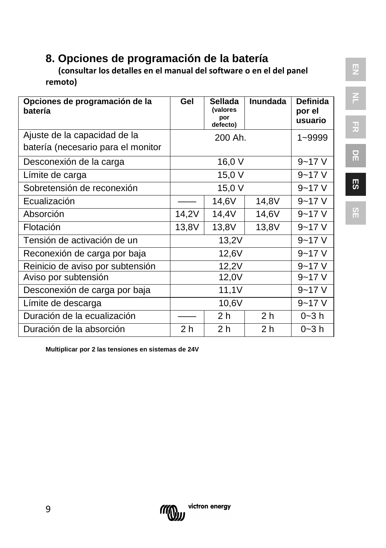## **8. Opciones de programación de la batería**

 **(consultar los detalles en el manual del software o en el del panel remoto)**

| Opciones de programación de la<br>batería | Gel    | <b>Sellada</b><br><i>(valores</i><br>por<br>defecto) | Inundada       | <b>Definida</b><br>por el<br>usuario |
|-------------------------------------------|--------|------------------------------------------------------|----------------|--------------------------------------|
| Ajuste de la capacidad de la              |        | 200 Ah.                                              |                | 1~9999                               |
| batería (necesario para el monitor        |        |                                                      |                |                                      |
| Desconexión de la carga                   |        | 16,0 V                                               |                | $9 - 17V$                            |
| Límite de carga                           |        | 15,0 V                                               |                | $9 - 17V$                            |
| Sobretensión de reconexión                | 15,0 V |                                                      |                | $9 - 17V$                            |
| Ecualización                              |        | 14,6V                                                | 14,8V          | $9 - 17V$                            |
| Absorción                                 | 14,2V  | 14,4V                                                | 14,6V          | $9 - 17V$                            |
| Flotación                                 | 13,8V  | 13,8V                                                | 13,8V          | $9 - 17V$                            |
| Tensión de activación de un               | 13,2V  |                                                      |                | $9 - 17V$                            |
| Reconexión de carga por baja              | 12,6V  |                                                      |                | $9 - 17V$                            |
| Reinicio de aviso por subtensión          | 12,2V  |                                                      |                | $9 - 17V$                            |
| Aviso por subtensión                      | 12,0V  |                                                      |                | $9 - 17V$                            |
| Desconexión de carga por baja             | 11,1V  |                                                      |                | $9 - 17V$                            |
| Límite de descarga                        | 10,6V  |                                                      | $9 - 17V$      |                                      |
| Duración de la ecualización               |        | 2 <sub>h</sub>                                       | 2 <sub>h</sub> | $0 - 3 h$                            |
| Duración de la absorción                  | 2 h    | 2 <sub>h</sub>                                       | 2 <sub>h</sub> | $0 - 3 h$                            |

**Multiplicar por 2 las tensiones en sistemas de 24V**



**FR**

**DE**

**SE**

9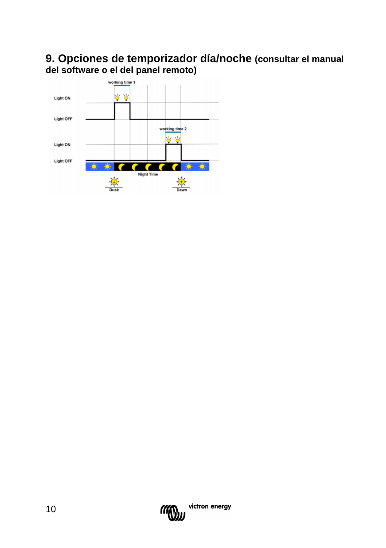## **9. Opciones de temporizador día/noche (consultar el manual del software o el del panel remoto)**



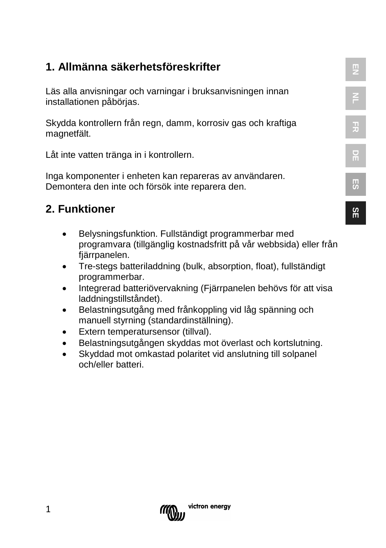## **1. Allmänna säkerhetsföreskrifter**

Läs alla anvisningar och varningar i bruksanvisningen innan installationen påbörjas.

Skydda kontrollern från regn, damm, korrosiv gas och kraftiga magnetfält.

Låt inte vatten tränga in i kontrollern.

Inga komponenter i enheten kan repareras av användaren. Demontera den inte och försök inte reparera den.

## **2. Funktioner**

- Belysningsfunktion. Fullständigt programmerbar med programvara (tillgänglig kostnadsfritt på vår webbsida) eller från fjärrpanelen.
- Tre-stegs batteriladdning (bulk, absorption, float), fullständigt programmerbar.
- Integrerad batteriövervakning (Fjärrpanelen behövs för att visa laddningstillståndet).
- Belastningsutgång med frånkoppling vid låg spänning och manuell styrning (standardinställning).
- Extern temperatursensor (tillval).
- Belastningsutgången skyddas mot överlast och kortslutning.
- Skyddad mot omkastad polaritet vid anslutning till solpanel och/eller batteri.

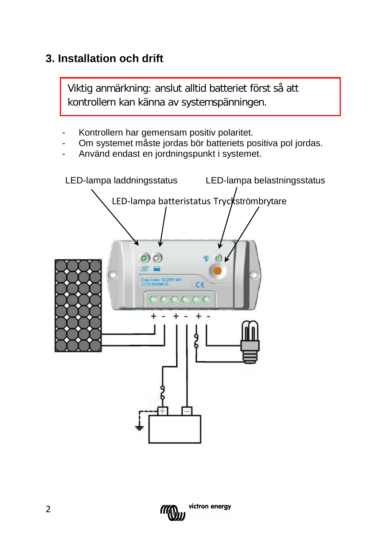## **3. Installation och drift**

Viktig anmärkning: anslut alltid batteriet först så att kontrollern kan känna av systemspänningen.

- Kontrollern har gemensam positiv polaritet.
- Om systemet måste jordas bör batteriets positiva pol jordas.
- Använd endast en jordningspunkt i systemet.



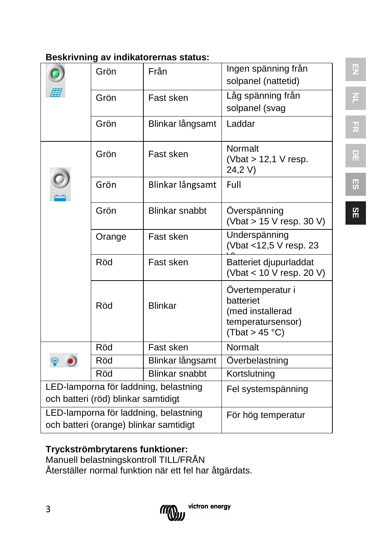#### **Beskrivning av indikatorernas status:**

|                                                                              | Grön   | Från                  | Ingen spänning från<br>solpanel (nattetid)                                               |
|------------------------------------------------------------------------------|--------|-----------------------|------------------------------------------------------------------------------------------|
|                                                                              | Grön   | Fast sken             | Låg spänning från                                                                        |
|                                                                              |        |                       | solpanel (svag                                                                           |
|                                                                              | Grön   | Blinkar långsamt      | Laddar                                                                                   |
|                                                                              | Grön   | Fast sken             | Normalt<br>(Vbat $> 12,1$ V resp.<br>24,2 V)                                             |
|                                                                              | Grön   | Blinkar långsamt      | Full                                                                                     |
|                                                                              | Grön   | Blinkar snabbt        | Överspänning<br>(Vbat > 15 V resp. 30 V)                                                 |
|                                                                              | Orange | Fast sken             | Underspänning<br>(Vbat <12,5 V resp. 23                                                  |
|                                                                              | Röd    | Fast sken             | Batteriet djupurladdat<br>(Vbat < 10 V resp. 20 V)                                       |
|                                                                              | Röd    | <b>Blinkar</b>        | Övertemperatur i<br>batteriet<br>(med installerad<br>temperatursensor)<br>(Tbat > 45 °C) |
|                                                                              | Röd    | Fast sken             | Normalt                                                                                  |
|                                                                              | Röd    | Blinkar långsamt      | Överbelastning                                                                           |
|                                                                              | Röd    | <b>Blinkar snabbt</b> | Kortslutning                                                                             |
| LED-lamporna för laddning, belastning<br>och batteri (röd) blinkar samtidigt |        |                       | Fel systemspänning                                                                       |
| LED-lamporna för laddning, belastning                                        |        |                       | För hög temperatur                                                                       |
| och batteri (orange) blinkar samtidigt                                       |        |                       |                                                                                          |

#### **Tryckströmbrytarens funktioner:**

Manuell belastningskontroll TILL/FRÅN Återställer normal funktion när ett fel har åtgärdats.



**FR DE**

F<sub>1</sub>

**ES**

**SE**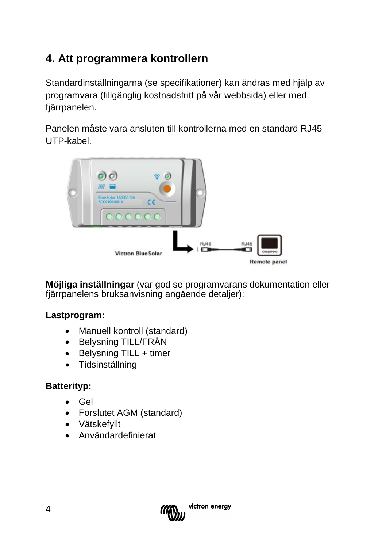## **4. Att programmera kontrollern**

Standardinställningarna (se specifikationer) kan ändras med hjälp av programvara (tillgänglig kostnadsfritt på vår webbsida) eller med fjärrpanelen.

Panelen måste vara ansluten till kontrollerna med en standard RJ45 UTP-kabel.



**Möjliga inställningar** (var god se programvarans dokumentation eller fjärrpanelens bruksanvisning angående detaljer):

#### **Lastprogram:**

- [Manuell](app:ds:manual) kontroll (standard)
- Belysning TILL/FRÅN
- Belysning TILL + timer
- Tidsinställning

#### **Batterityp:**

- Gel
- Förslutet AGM (standard)
- Vätskefyllt
- Användardefinierat

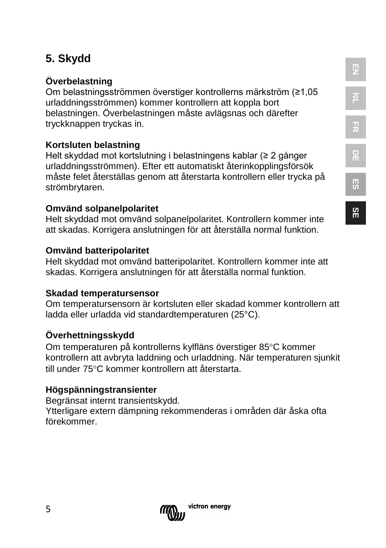## **5. Skydd**

## **Överbelastning**

Om belastningsströmmen överstiger kontrollerns märkström (≥1,05 urladdningsströmmen) kommer kontrollern att koppla bort belastningen. Överbelastningen måste avlägsnas och därefter tryckknappen tryckas in.

## **Kortsluten belastning**

Helt skyddad mot kortslutning i belastningens kablar (≥ 2 gånger urladdningsströmmen). Efter ett automatiskt återinkopplingsförsök måste felet återställas genom att återstarta kontrollern eller trycka på strömbrytaren.

#### **Omvänd solpanelpolaritet**

Helt skyddad mot omvänd solpanelpolaritet. Kontrollern kommer inte att skadas. Korrigera anslutningen för att återställa normal funktion.

#### **Omvänd batteripolaritet**

Helt skyddad mot omvänd batteripolaritet. Kontrollern kommer inte att skadas. Korrigera anslutningen för att återställa normal funktion.

#### **Skadad temperatursensor**

Om temperatursensorn är kortsluten eller skadad kommer kontrollern att ladda eller urladda vid standardtemperaturen (25°C).

#### **Överhettningsskydd**

Om temperaturen på kontrollerns kylfläns överstiger 85°C kommer kontrollern att avbryta laddning och urladdning. När temperaturen sjunkit till under 75°C kommer kontrollern att återstarta.

#### **Högspänningstransienter**

Begränsat internt transientskydd. Ytterligare extern dämpning rekommenderas i områden där åska ofta förekommer.



**SE**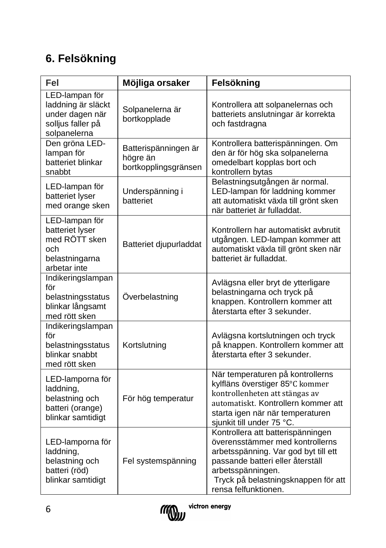## **6. Felsökning**

| Fel                                                                                          | Möjliga orsaker                                          | Felsökning                                                                                                                                                                                                                           |  |
|----------------------------------------------------------------------------------------------|----------------------------------------------------------|--------------------------------------------------------------------------------------------------------------------------------------------------------------------------------------------------------------------------------------|--|
| LED-lampan för<br>laddning är släckt<br>under dagen när<br>solljus faller på<br>solpanelerna | Solpanelerna är<br>bortkopplade                          | Kontrollera att solpanelernas och<br>batteriets anslutningar är korrekta<br>och fastdragna                                                                                                                                           |  |
| Den gröna LED-<br>lampan för<br>batteriet blinkar<br>snabbt                                  | Batterispänningen är<br>högre än<br>bortkopplingsgränsen | Kontrollera batterispänningen. Om<br>den är för hög ska solpanelerna<br>omedelbart kopplas bort och<br>kontrollern bytas                                                                                                             |  |
| LED-lampan för<br>batteriet lyser<br>med orange sken                                         | Underspänning i<br>batteriet                             | Belastningsutgången är normal.<br>LED-lampan för laddning kommer<br>att automatiskt växla till grönt sken<br>när batteriet är fulladdat.                                                                                             |  |
| LED-lampan för<br>batteriet lyser<br>med RÖTT sken<br>och<br>belastningarna<br>arbetar inte  | Batteriet djupurladdat                                   | Kontrollern har automatiskt avbrutit<br>utgången. LED-lampan kommer att<br>automatiskt växla till grönt sken när<br>batteriet är fulladdat.                                                                                          |  |
| Indikeringslampan<br>för<br>belastningsstatus<br>blinkar långsamt<br>med rött sken           | Överbelastning                                           | Avlägsna eller bryt de ytterligare<br>belastningarna och tryck på<br>knappen. Kontrollern kommer att<br>återstarta efter 3 sekunder.                                                                                                 |  |
| Indikeringslampan<br>för<br>belastningsstatus<br>blinkar snabbt<br>med rött sken             | Kortslutning                                             | Avlägsna kortslutningen och tryck<br>på knappen. Kontrollern kommer att<br>återstarta efter 3 sekunder.                                                                                                                              |  |
| LED-lamporna för<br>laddning,<br>belastning och<br>batteri (orange)<br>blinkar samtidigt     | För hög temperatur                                       | När temperaturen på kontrollerns<br>kylfläns överstiger 85°C kommer<br>kontrollenheten att stängas av<br>automatiskt. Kontrollern kommer att<br>starta igen när när temperaturen<br>sjunkit till under 75 °C.                        |  |
| LED-lamporna för<br>laddning,<br>belastning och<br>batteri (röd)<br>blinkar samtidigt        | Fel systemspänning                                       | Kontrollera att batterispänningen<br>överensstämmer med kontrollerns<br>arbetsspänning. Var god byt till ett<br>passande batteri eller återställ<br>arbetsspänningen.<br>Tryck på belastningsknappen för att<br>rensa felfunktionen. |  |

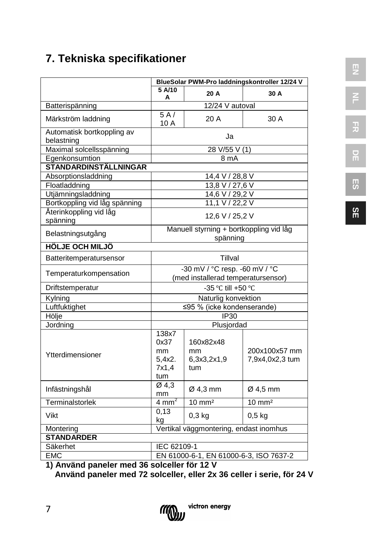## **7. Tekniska specifikationer**

|                                          |                                                                     | BlueSolar PWM-Pro laddningskontroller 12/24 V |                                  |  |
|------------------------------------------|---------------------------------------------------------------------|-----------------------------------------------|----------------------------------|--|
|                                          | 5 A/10<br>А                                                         | 20 A                                          | 30 A                             |  |
| Batterispänning                          | 12/24 V autoval                                                     |                                               |                                  |  |
| Märkström laddning                       | 5A/<br>10 A                                                         | 20 A                                          | 30 A                             |  |
| Automatisk bortkoppling av<br>belastning | Ja                                                                  |                                               |                                  |  |
| Maximal solcellsspänning                 | 28 V/55 V(1)                                                        |                                               |                                  |  |
| Egenkonsumtion                           | 8 mA                                                                |                                               |                                  |  |
| <b>STANDARDINSTÄLLNINGAR</b>             |                                                                     |                                               |                                  |  |
| Absorptionsladdning                      | 14,4 V / 28,8 V                                                     |                                               |                                  |  |
| Floatladdning                            | 13,8 V / 27,6 V                                                     |                                               |                                  |  |
| Utjämningsladdning                       | 14,6 V / 29,2 V                                                     |                                               |                                  |  |
| Bortkoppling vid låg spänning            | 11,1 V / 22,2 V                                                     |                                               |                                  |  |
| Återinkoppling vid låg<br>spänning       | 12,6 V / 25,2 V                                                     |                                               |                                  |  |
| Belastningsutgång                        | Manuell styrning + bortkoppling vid låg<br>spänning                 |                                               |                                  |  |
| <b>HÖLJE OCH MILJÖ</b>                   |                                                                     |                                               |                                  |  |
| Batteritemperatursensor                  | Tillval                                                             |                                               |                                  |  |
| Temperaturkompensation                   | -30 mV / °C resp. -60 mV / °C<br>(med installerad temperatursensor) |                                               |                                  |  |
| Driftstemperatur                         | -35 °C till +50 °C                                                  |                                               |                                  |  |
| Kylning                                  | Naturlig konvektion                                                 |                                               |                                  |  |
| Luftfuktighet                            | ≤95 % (icke kondenserande)                                          |                                               |                                  |  |
| Hölje                                    | IP30                                                                |                                               |                                  |  |
| Jordning                                 | Plusjordad                                                          |                                               |                                  |  |
| Ytterdimensioner                         | 138x7<br>0x37<br>mm<br>5,4x2.<br>7x1,4<br>tum                       | 160x82x48<br>mm<br>6,3x3,2x1,9<br>tum         | 200x100x57 mm<br>7,9x4,0x2,3 tum |  |
| Infästningshål                           | Ø4,3<br>mm                                                          | Ø 4,3 mm                                      | $Ø$ 4,5 mm                       |  |
| Terminalstorlek                          | $4 \text{ mm}^2$                                                    | $10 \text{ mm}^2$                             | $10 \text{ mm}^2$                |  |
| Vikt                                     | 0,13<br>kg                                                          | $0,3$ kg                                      | $0,5$ kg                         |  |
| Montering                                | Vertikal väggmontering, endast inomhus                              |                                               |                                  |  |
| <b>STANDARDER</b>                        |                                                                     |                                               |                                  |  |
| IEC 62109-1<br>Säkerhet                  |                                                                     |                                               |                                  |  |
| <b>EMC</b>                               | EN 61000-6-1, EN 61000-6-3, ISO 7637-2                              |                                               |                                  |  |

**1) Använd paneler med 36 solceller för 12 V** 

 **Använd paneler med 72 solceller, eller 2x 36 celler i serie, för 24 V**



**ES**

**SE**

7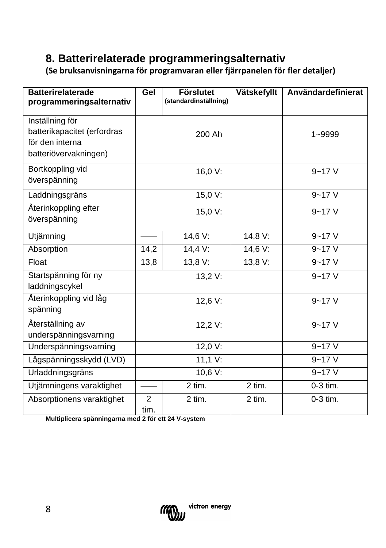## **8. Batterirelaterade programmeringsalternativ**

**(Se bruksanvisningarna för programvaran eller fjärrpanelen för fler detaljer)**

| <b>Batterirelaterade</b><br>programmeringsalternativ                                       | Gel                    | <b>Förslutet</b><br>(standardinställning) | Vätskefyllt | Användardefinierat |
|--------------------------------------------------------------------------------------------|------------------------|-------------------------------------------|-------------|--------------------|
| Inställning för<br>batterikapacitet (erfordras<br>för den interna<br>batteriövervakningen) |                        | 200 Ah                                    |             | $1 - 9999$         |
| Bortkoppling vid<br>överspänning                                                           | 16,0 V:                |                                           | $9 - 17V$   |                    |
| Laddningsgräns                                                                             | 15,0 V:                |                                           | $9 - 17V$   |                    |
| Återinkoppling efter<br>överspänning                                                       | 15,0 V:                |                                           | $9 - 17V$   |                    |
| Utjämning                                                                                  |                        | 14,6 V:                                   | 14,8 V:     | $9 - 17V$          |
| Absorption                                                                                 | 14,2                   | 14,4 V:                                   | 14,6 V:     | $9 - 17V$          |
| Float                                                                                      | 13,8                   | 13,8 V:                                   | 13,8 V:     | $9 - 17V$          |
| Startspänning för ny<br>laddningscykel                                                     |                        | 13,2 V:                                   |             | $9 - 17V$          |
| Återinkoppling vid låg<br>spänning                                                         | 12,6 V:                |                                           |             | $9 - 17V$          |
| Återställning av<br>underspänningsvarning                                                  |                        | 12,2 V:                                   |             | $9 - 17V$          |
| Underspänningsvarning                                                                      | 12,0 V:                |                                           | $9 - 17V$   |                    |
| Lågspänningsskydd (LVD)                                                                    | 11,1 V:                |                                           |             | $9 - 17V$          |
| Urladdningsgräns                                                                           | 10,6 V:                |                                           | $9 - 17V$   |                    |
| Utjämningens varaktighet                                                                   |                        | 2 tim.                                    | 2 tim.      | $0-3$ tim.         |
| Absorptionens varaktighet                                                                  | $\overline{2}$<br>tim. | 2 tim.                                    | 2 tim.      | 0-3 tim.           |

**Multiplicera spänningarna med 2 för ett 24 V-system**

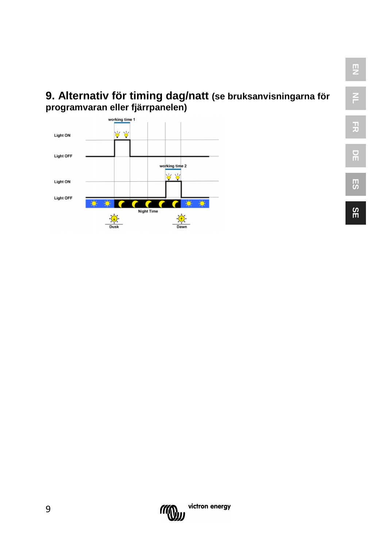